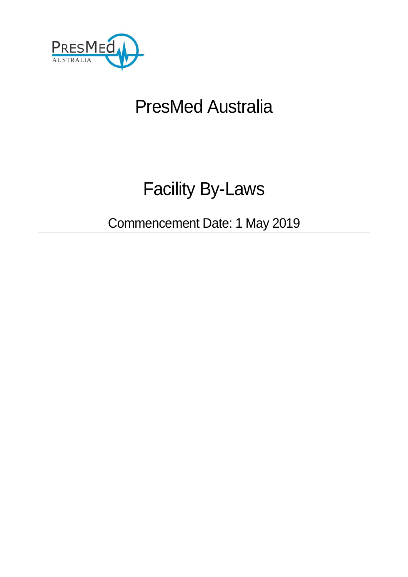

# PresMed Australia

# Facility By-Laws

Commencement Date: 1 May 2019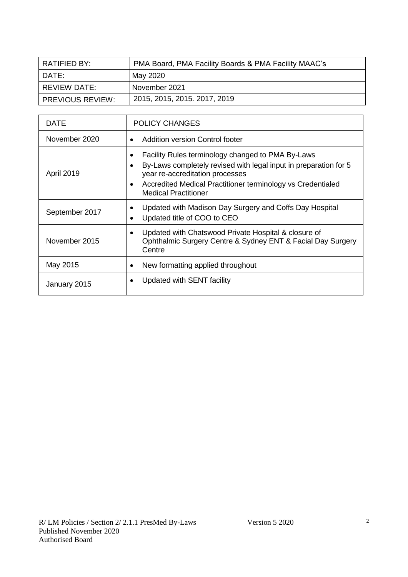| RATIFIED BY:            | PMA Board, PMA Facility Boards & PMA Facility MAAC's |
|-------------------------|------------------------------------------------------|
| DATE:                   | May 2020                                             |
| REVIEW DATE:            | November 2021                                        |
| <b>PREVIOUS REVIEW:</b> | 2015, 2015, 2015. 2017, 2019                         |

| DATE              | <b>POLICY CHANGES</b>                                                                                                                                                                                                                                                            |
|-------------------|----------------------------------------------------------------------------------------------------------------------------------------------------------------------------------------------------------------------------------------------------------------------------------|
| November 2020     | Addition version Control footer<br>$\bullet$                                                                                                                                                                                                                                     |
| <b>April 2019</b> | Facility Rules terminology changed to PMA By-Laws<br>By-Laws completely revised with legal input in preparation for 5<br>$\bullet$<br>year re-accreditation processes<br>Accredited Medical Practitioner terminology vs Credentialed<br>$\bullet$<br><b>Medical Practitioner</b> |
| September 2017    | Updated with Madison Day Surgery and Coffs Day Hospital<br>Updated title of COO to CEO<br>$\bullet$                                                                                                                                                                              |
| November 2015     | Updated with Chatswood Private Hospital & closure of<br>$\bullet$<br>Ophthalmic Surgery Centre & Sydney ENT & Facial Day Surgery<br>Centre                                                                                                                                       |
| May 2015          | New formatting applied throughout<br>٠                                                                                                                                                                                                                                           |
| January 2015      | Updated with SENT facility                                                                                                                                                                                                                                                       |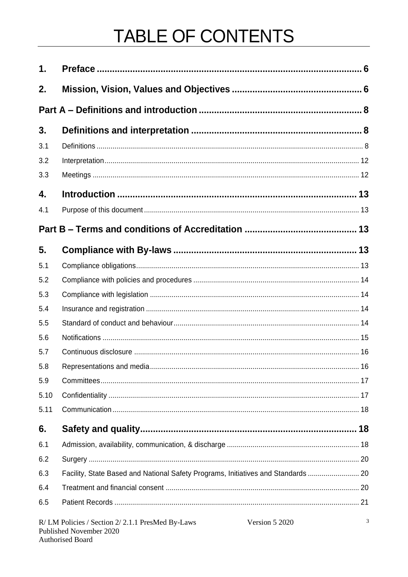# TABLE OF CONTENTS

| 1.   |                                                                                   |   |
|------|-----------------------------------------------------------------------------------|---|
| 2.   |                                                                                   |   |
|      |                                                                                   |   |
| 3.   |                                                                                   |   |
| 3.1  |                                                                                   |   |
| 3.2  |                                                                                   |   |
| 3.3  |                                                                                   |   |
| 4.   |                                                                                   |   |
| 4.1  |                                                                                   |   |
|      |                                                                                   |   |
| 5.   |                                                                                   |   |
| 5.1  |                                                                                   |   |
| 5.2  |                                                                                   |   |
| 5.3  |                                                                                   |   |
| 5.4  |                                                                                   |   |
| 5.5  |                                                                                   |   |
| 5.6  |                                                                                   |   |
| 5.7  |                                                                                   |   |
| 5.8  |                                                                                   |   |
| 5.9  |                                                                                   |   |
| 5.10 |                                                                                   |   |
| 5.11 |                                                                                   |   |
| 6.   |                                                                                   |   |
| 6.1  |                                                                                   |   |
| 6.2  |                                                                                   |   |
| 6.3  | Facility, State Based and National Safety Programs, Initiatives and Standards  20 |   |
| 6.4  |                                                                                   |   |
| 6.5  |                                                                                   |   |
|      | R/LM Policies / Section 2/2.1.1 PresMed By-Laws<br>Version 5 2020                 | 3 |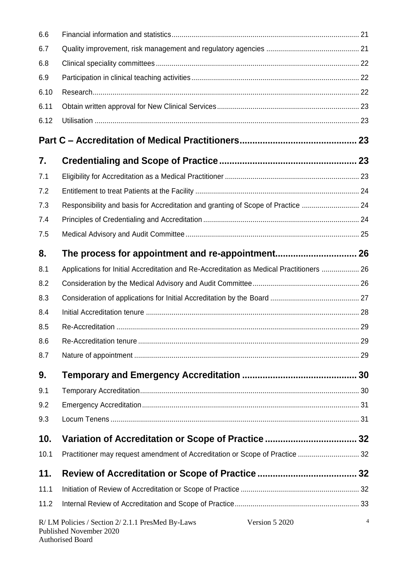| 6.6  |                                                                                              |                |
|------|----------------------------------------------------------------------------------------------|----------------|
| 6.7  |                                                                                              |                |
| 6.8  |                                                                                              |                |
| 6.9  |                                                                                              |                |
| 6.10 |                                                                                              |                |
| 6.11 |                                                                                              |                |
| 6.12 |                                                                                              |                |
|      |                                                                                              |                |
| 7.   |                                                                                              |                |
| 7.1  |                                                                                              |                |
| 7.2  |                                                                                              |                |
| 7.3  | Responsibility and basis for Accreditation and granting of Scope of Practice  24             |                |
| 7.4  |                                                                                              |                |
| 7.5  |                                                                                              |                |
| 8.   |                                                                                              |                |
| 8.1  | Applications for Initial Accreditation and Re-Accreditation as Medical Practitioners  26     |                |
| 8.2  |                                                                                              |                |
| 8.3  |                                                                                              |                |
| 8.4  |                                                                                              |                |
| 8.5  |                                                                                              |                |
| 8.6  |                                                                                              |                |
| 8.7  |                                                                                              |                |
| 9.   |                                                                                              |                |
| 9.1  |                                                                                              |                |
| 9.2  |                                                                                              |                |
| 9.3  |                                                                                              |                |
| 10.  |                                                                                              |                |
| 10.1 | Practitioner may request amendment of Accreditation or Scope of Practice  32                 |                |
| 11.  |                                                                                              |                |
| 11.1 |                                                                                              |                |
| 11.2 |                                                                                              |                |
|      | R/LM Policies / Section 2/2.1.1 PresMed By-Laws<br>Version 5 2020<br>Published November 2020 | $\overline{4}$ |

Authorised Board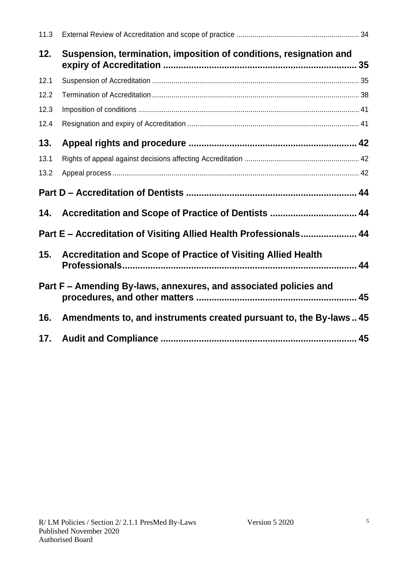| 11.3 |                                                                    |  |
|------|--------------------------------------------------------------------|--|
| 12.  | Suspension, termination, imposition of conditions, resignation and |  |
| 12.1 |                                                                    |  |
| 12.2 |                                                                    |  |
| 12.3 |                                                                    |  |
| 12.4 |                                                                    |  |
| 13.  |                                                                    |  |
| 13.1 |                                                                    |  |
| 13.2 |                                                                    |  |
|      |                                                                    |  |
|      |                                                                    |  |
|      | Part E - Accreditation of Visiting Allied Health Professionals 44  |  |
|      | 15. Accreditation and Scope of Practice of Visiting Allied Health  |  |
|      | Part F - Amending By-laws, annexures, and associated policies and  |  |
| 16.  | Amendments to, and instruments created pursuant to, the By-laws 45 |  |
| 17.  |                                                                    |  |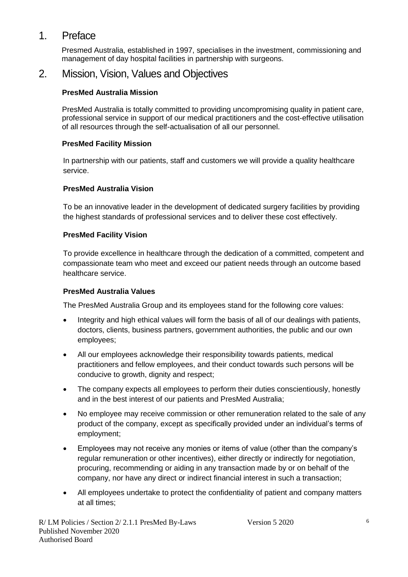## 1. Preface

Presmed Australia, established in 1997, specialises in the investment, commissioning and management of day hospital facilities in partnership with surgeons.

### 2. Mission, Vision, Values and Objectives

#### **PresMed Australia Mission**

PresMed Australia is totally committed to providing uncompromising quality in patient care, professional service in support of our medical practitioners and the cost-effective utilisation of all resources through the self-actualisation of all our personnel.

#### **PresMed Facility Mission**

In partnership with our patients, staff and customers we will provide a quality healthcare service.

#### **PresMed Australia Vision**

To be an innovative leader in the development of dedicated surgery facilities by providing the highest standards of professional services and to deliver these cost effectively.

#### **PresMed Facility Vision**

To provide excellence in healthcare through the dedication of a committed, competent and compassionate team who meet and exceed our patient needs through an outcome based healthcare service.

#### **PresMed Australia Values**

The PresMed Australia Group and its employees stand for the following core values:

- Integrity and high ethical values will form the basis of all of our dealings with patients, doctors, clients, business partners, government authorities, the public and our own employees;
- All our employees acknowledge their responsibility towards patients, medical practitioners and fellow employees, and their conduct towards such persons will be conducive to growth, dignity and respect;
- The company expects all employees to perform their duties conscientiously, honestly and in the best interest of our patients and PresMed Australia;
- No employee may receive commission or other remuneration related to the sale of any product of the company, except as specifically provided under an individual's terms of employment;
- Employees may not receive any monies or items of value (other than the company's regular remuneration or other incentives), either directly or indirectly for negotiation, procuring, recommending or aiding in any transaction made by or on behalf of the company, nor have any direct or indirect financial interest in such a transaction;
- All employees undertake to protect the confidentiality of patient and company matters at all times;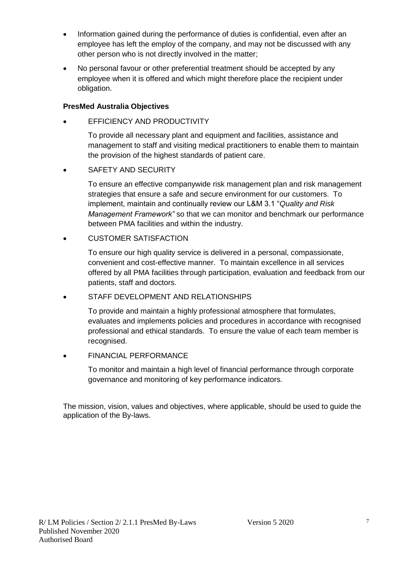- Information gained during the performance of duties is confidential, even after an employee has left the employ of the company, and may not be discussed with any other person who is not directly involved in the matter;
- No personal favour or other preferential treatment should be accepted by any employee when it is offered and which might therefore place the recipient under obligation.

#### **PresMed Australia Objectives**

EFFICIENCY AND PRODUCTIVITY

To provide all necessary plant and equipment and facilities, assistance and management to staff and visiting medical practitioners to enable them to maintain the provision of the highest standards of patient care.

SAFETY AND SECURITY

To ensure an effective companywide risk management plan and risk management strategies that ensure a safe and secure environment for our customers. To implement, maintain and continually review our L&M 3.1 "*Quality and Risk Management Framework"* so that we can monitor and benchmark our performance between PMA facilities and within the industry.

CUSTOMER SATISFACTION

To ensure our high quality service is delivered in a personal, compassionate, convenient and cost-effective manner. To maintain excellence in all services offered by all PMA facilities through participation, evaluation and feedback from our patients, staff and doctors.

#### STAFF DEVELOPMENT AND RELATIONSHIPS

To provide and maintain a highly professional atmosphere that formulates, evaluates and implements policies and procedures in accordance with recognised professional and ethical standards. To ensure the value of each team member is recognised.

#### FINANCIAL PERFORMANCE

To monitor and maintain a high level of financial performance through corporate governance and monitoring of key performance indicators.

The mission, vision, values and objectives, where applicable, should be used to guide the application of the By-laws.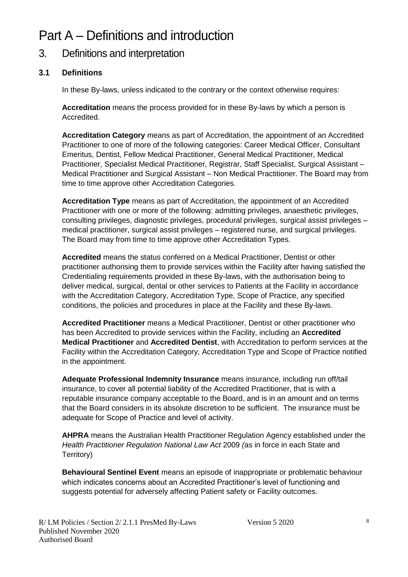# Part A – Definitions and introduction

# 3. Definitions and interpretation

#### **3.1 Definitions**

In these By-laws, unless indicated to the contrary or the context otherwise requires:

**Accreditation** means the process provided for in these By-laws by which a person is Accredited.

**Accreditation Category** means as part of Accreditation, the appointment of an Accredited Practitioner to one of more of the following categories: Career Medical Officer, Consultant Emeritus, Dentist, Fellow Medical Practitioner, General Medical Practitioner, Medical Practitioner, Specialist Medical Practitioner, Registrar, Staff Specialist, Surgical Assistant – Medical Practitioner and Surgical Assistant – Non Medical Practitioner. The Board may from time to time approve other Accreditation Categories.

**Accreditation Type** means as part of Accreditation, the appointment of an Accredited Practitioner with one or more of the following: admitting privileges, anaesthetic privileges, consulting privileges, diagnostic privileges, procedural privileges, surgical assist privileges – medical practitioner, surgical assist privileges – registered nurse, and surgical privileges. The Board may from time to time approve other Accreditation Types.

**Accredited** means the status conferred on a Medical Practitioner, Dentist or other practitioner authorising them to provide services within the Facility after having satisfied the Credentialing requirements provided in these By-laws, with the authorisation being to deliver medical, surgical, dental or other services to Patients at the Facility in accordance with the Accreditation Category, Accreditation Type, Scope of Practice, any specified conditions, the policies and procedures in place at the Facility and these By-laws.

**Accredited Practitioner** means a Medical Practitioner, Dentist or other practitioner who has been Accredited to provide services within the Facility, including an **Accredited Medical Practitioner** and **Accredited Dentist**, with Accreditation to perform services at the Facility within the Accreditation Category, Accreditation Type and Scope of Practice notified in the appointment.

**Adequate Professional Indemnity Insurance** means insurance, including run off/tail insurance, to cover all potential liability of the Accredited Practitioner, that is with a reputable insurance company acceptable to the Board, and is in an amount and on terms that the Board considers in its absolute discretion to be sufficient. The insurance must be adequate for Scope of Practice and level of activity.

**AHPRA** means the Australian Health Practitioner Regulation Agency established under the *Health Practitioner Regulation National Law Act* 2009 *(*as in force in each State and Territory)

**Behavioural Sentinel Event** means an episode of inappropriate or problematic behaviour which indicates concerns about an Accredited Practitioner's level of functioning and suggests potential for adversely affecting Patient safety or Facility outcomes.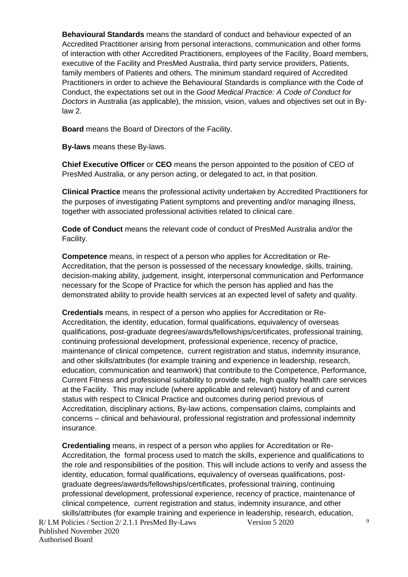**Behavioural Standards** means the standard of conduct and behaviour expected of an Accredited Practitioner arising from personal interactions, communication and other forms of interaction with other Accredited Practitioners, employees of the Facility, Board members, executive of the Facility and PresMed Australia, third party service providers, Patients, family members of Patients and others. The minimum standard required of Accredited Practitioners in order to achieve the Behavioural Standards is compliance with the Code of Conduct, the expectations set out in the *Good Medical Practice: A Code of Conduct for Doctors* in Australia (as applicable), the mission, vision, values and objectives set out in Bylaw 2.

**Board** means the Board of Directors of the Facility.

**By-laws** means these By-laws.

**Chief Executive Officer** or **CEO** means the person appointed to the position of CEO of PresMed Australia, or any person acting, or delegated to act, in that position.

**Clinical Practice** means the professional activity undertaken by Accredited Practitioners for the purposes of investigating Patient symptoms and preventing and/or managing illness, together with associated professional activities related to clinical care.

**Code of Conduct** means the relevant code of conduct of PresMed Australia and/or the Facility.

**Competence** means, in respect of a person who applies for Accreditation or Re-Accreditation, that the person is possessed of the necessary knowledge, skills, training, decision-making ability, judgement, insight, interpersonal communication and Performance necessary for the Scope of Practice for which the person has applied and has the demonstrated ability to provide health services at an expected level of safety and quality.

**Credentials** means, in respect of a person who applies for Accreditation or Re-Accreditation, the identity, education, formal qualifications, equivalency of overseas qualifications, post-graduate degrees/awards/fellowships/certificates, professional training, continuing professional development, professional experience, recency of practice, maintenance of clinical competence, current registration and status, indemnity insurance, and other skills/attributes (for example training and experience in leadership, research, education, communication and teamwork) that contribute to the Competence, Performance, Current Fitness and professional suitability to provide safe, high quality health care services at the Facility. This may include (where applicable and relevant) history of and current status with respect to Clinical Practice and outcomes during period previous of Accreditation, disciplinary actions, By-law actions, compensation claims, complaints and concerns – clinical and behavioural, professional registration and professional indemnity insurance.

**Credentialing** means, in respect of a person who applies for Accreditation or Re-Accreditation, the formal process used to match the skills, experience and qualifications to the role and responsibilities of the position. This will include actions to verify and assess the identity, education, formal qualifications, equivalency of overseas qualifications, postgraduate degrees/awards/fellowships/certificates, professional training, continuing professional development, professional experience, recency of practice, maintenance of clinical competence, current registration and status, indemnity insurance, and other skills/attributes (for example training and experience in leadership, research, education,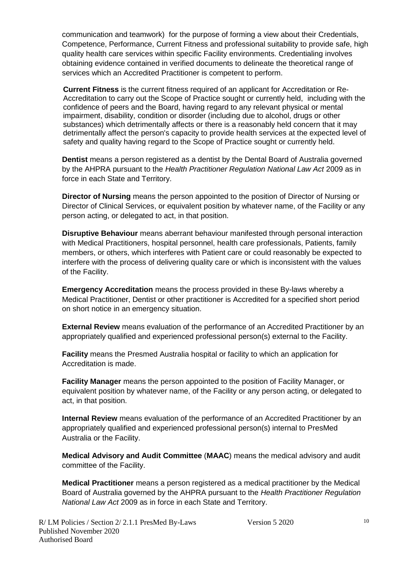communication and teamwork) for the purpose of forming a view about their Credentials, Competence, Performance, Current Fitness and professional suitability to provide safe, high quality health care services within specific Facility environments. Credentialing involves obtaining evidence contained in verified documents to delineate the theoretical range of services which an Accredited Practitioner is competent to perform.

**Current Fitness** is the current fitness required of an applicant for Accreditation or Re-Accreditation to carry out the Scope of Practice sought or currently held, including with the confidence of peers and the Board, having regard to any relevant physical or mental impairment, disability, condition or disorder (including due to alcohol, drugs or other substances) which detrimentally affects or there is a reasonably held concern that it may detrimentally affect the person's capacity to provide health services at the expected level of safety and quality having regard to the Scope of Practice sought or currently held.

**Dentist** means a person registered as a dentist by the Dental Board of Australia governed by the AHPRA pursuant to the *Health Practitioner Regulation National Law Act* 2009 as in force in each State and Territory.

**Director of Nursing** means the person appointed to the position of Director of Nursing or Director of Clinical Services, or equivalent position by whatever name, of the Facility or any person acting, or delegated to act, in that position.

**Disruptive Behaviour** means aberrant behaviour manifested through personal interaction with Medical Practitioners, hospital personnel, health care professionals, Patients, family members, or others, which interferes with Patient care or could reasonably be expected to interfere with the process of delivering quality care or which is inconsistent with the values of the Facility.

**Emergency Accreditation** means the process provided in these By-laws whereby a Medical Practitioner, Dentist or other practitioner is Accredited for a specified short period on short notice in an emergency situation.

**External Review** means evaluation of the performance of an Accredited Practitioner by an appropriately qualified and experienced professional person(s) external to the Facility.

**Facility** means the Presmed Australia hospital or facility to which an application for Accreditation is made.

**Facility Manager** means the person appointed to the position of Facility Manager, or equivalent position by whatever name, of the Facility or any person acting, or delegated to act, in that position.

**Internal Review** means evaluation of the performance of an Accredited Practitioner by an appropriately qualified and experienced professional person(s) internal to PresMed Australia or the Facility.

**Medical Advisory and Audit Committee** (**MAAC**) means the medical advisory and audit committee of the Facility.

**Medical Practitioner** means a person registered as a medical practitioner by the Medical Board of Australia governed by the AHPRA pursuant to the *Health Practitioner Regulation National Law Act* 2009 as in force in each State and Territory.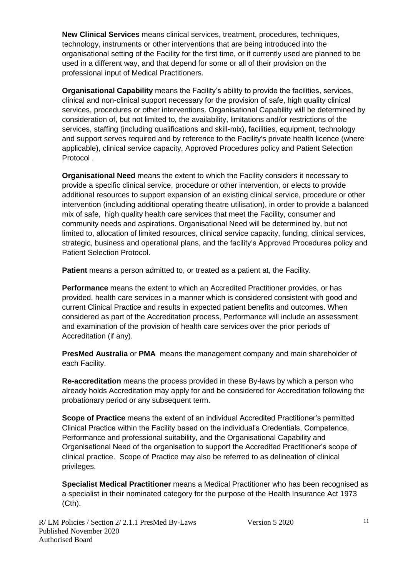**New Clinical Services** means clinical services, treatment, procedures, techniques, technology, instruments or other interventions that are being introduced into the organisational setting of the Facility for the first time, or if currently used are planned to be used in a different way, and that depend for some or all of their provision on the professional input of Medical Practitioners.

**Organisational Capability** means the Facility's ability to provide the facilities, services, clinical and non-clinical support necessary for the provision of safe, high quality clinical services, procedures or other interventions. Organisational Capability will be determined by consideration of, but not limited to, the availability, limitations and/or restrictions of the services, staffing (including qualifications and skill-mix), facilities, equipment, technology and support serves required and by reference to the Facility's private health licence (where applicable), clinical service capacity, Approved Procedures policy and Patient Selection Protocol .

**Organisational Need** means the extent to which the Facility considers it necessary to provide a specific clinical service, procedure or other intervention, or elects to provide additional resources to support expansion of an existing clinical service, procedure or other intervention (including additional operating theatre utilisation), in order to provide a balanced mix of safe, high quality health care services that meet the Facility, consumer and community needs and aspirations. Organisational Need will be determined by, but not limited to, allocation of limited resources, clinical service capacity, funding, clinical services, strategic, business and operational plans, and the facility's Approved Procedures policy and Patient Selection Protocol.

**Patient** means a person admitted to, or treated as a patient at, the Facility.

**Performance** means the extent to which an Accredited Practitioner provides, or has provided, health care services in a manner which is considered consistent with good and current Clinical Practice and results in expected patient benefits and outcomes. When considered as part of the Accreditation process, Performance will include an assessment and examination of the provision of health care services over the prior periods of Accreditation (if any).

**PresMed Australia** or **PMA** means the management company and main shareholder of each Facility.

**Re-accreditation** means the process provided in these By-laws by which a person who already holds Accreditation may apply for and be considered for Accreditation following the probationary period or any subsequent term.

**Scope of Practice** means the extent of an individual Accredited Practitioner's permitted Clinical Practice within the Facility based on the individual's Credentials, Competence, Performance and professional suitability, and the Organisational Capability and Organisational Need of the organisation to support the Accredited Practitioner's scope of clinical practice. Scope of Practice may also be referred to as delineation of clinical privileges.

**Specialist Medical Practitioner** means a Medical Practitioner who has been recognised as a specialist in their nominated category for the purpose of the Health Insurance Act 1973 (Cth).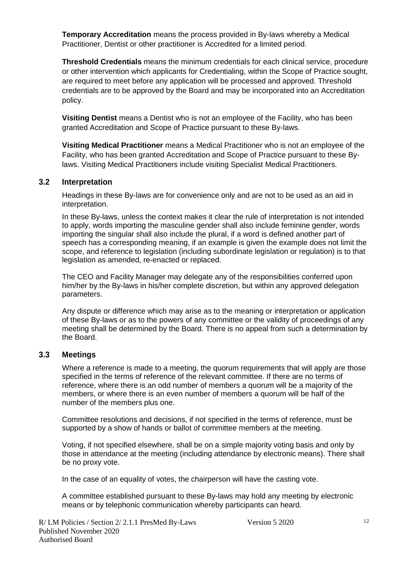**Temporary Accreditation** means the process provided in By-laws whereby a Medical Practitioner, Dentist or other practitioner is Accredited for a limited period.

**Threshold Credentials** means the minimum credentials for each clinical service, procedure or other intervention which applicants for Credentialing, within the Scope of Practice sought, are required to meet before any application will be processed and approved. Threshold credentials are to be approved by the Board and may be incorporated into an Accreditation policy.

**Visiting Dentist** means a Dentist who is not an employee of the Facility, who has been granted Accreditation and Scope of Practice pursuant to these By-laws.

**Visiting Medical Practitioner** means a Medical Practitioner who is not an employee of the Facility, who has been granted Accreditation and Scope of Practice pursuant to these Bylaws. Visiting Medical Practitioners include visiting Specialist Medical Practitioners.

#### **3.2 Interpretation**

Headings in these By-laws are for convenience only and are not to be used as an aid in interpretation.

In these By-laws, unless the context makes it clear the rule of interpretation is not intended to apply, words importing the masculine gender shall also include feminine gender, words importing the singular shall also include the plural, if a word is defined another part of speech has a corresponding meaning, if an example is given the example does not limit the scope, and reference to legislation (including subordinate legislation or regulation) is to that legislation as amended, re-enacted or replaced.

The CEO and Facility Manager may delegate any of the responsibilities conferred upon him/her by the By-laws in his/her complete discretion, but within any approved delegation parameters.

Any dispute or difference which may arise as to the meaning or interpretation or application of these By-laws or as to the powers of any committee or the validity of proceedings of any meeting shall be determined by the Board. There is no appeal from such a determination by the Board.

#### **3.3 Meetings**

Where a reference is made to a meeting, the quorum requirements that will apply are those specified in the terms of reference of the relevant committee. If there are no terms of reference, where there is an odd number of members a quorum will be a majority of the members, or where there is an even number of members a quorum will be half of the number of the members plus one.

Committee resolutions and decisions, if not specified in the terms of reference, must be supported by a show of hands or ballot of committee members at the meeting.

Voting, if not specified elsewhere, shall be on a simple majority voting basis and only by those in attendance at the meeting (including attendance by electronic means). There shall be no proxy vote.

In the case of an equality of votes, the chairperson will have the casting vote.

A committee established pursuant to these By-laws may hold any meeting by electronic means or by telephonic communication whereby participants can heard.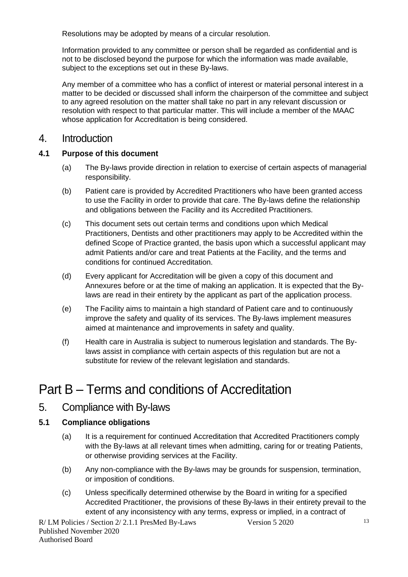Resolutions may be adopted by means of a circular resolution.

Information provided to any committee or person shall be regarded as confidential and is not to be disclosed beyond the purpose for which the information was made available, subject to the exceptions set out in these By-laws.

Any member of a committee who has a conflict of interest or material personal interest in a matter to be decided or discussed shall inform the chairperson of the committee and subject to any agreed resolution on the matter shall take no part in any relevant discussion or resolution with respect to that particular matter. This will include a member of the MAAC whose application for Accreditation is being considered.

#### 4. Introduction

#### **4.1 Purpose of this document**

- (a) The By-laws provide direction in relation to exercise of certain aspects of managerial responsibility.
- (b) Patient care is provided by Accredited Practitioners who have been granted access to use the Facility in order to provide that care. The By-laws define the relationship and obligations between the Facility and its Accredited Practitioners.
- (c) This document sets out certain terms and conditions upon which Medical Practitioners, Dentists and other practitioners may apply to be Accredited within the defined Scope of Practice granted, the basis upon which a successful applicant may admit Patients and/or care and treat Patients at the Facility, and the terms and conditions for continued Accreditation.
- (d) Every applicant for Accreditation will be given a copy of this document and Annexures before or at the time of making an application. It is expected that the Bylaws are read in their entirety by the applicant as part of the application process.
- (e) The Facility aims to maintain a high standard of Patient care and to continuously improve the safety and quality of its services. The By-laws implement measures aimed at maintenance and improvements in safety and quality.
- (f) Health care in Australia is subject to numerous legislation and standards. The Bylaws assist in compliance with certain aspects of this regulation but are not a substitute for review of the relevant legislation and standards.

# Part B – Terms and conditions of Accreditation

#### 5. Compliance with By-laws

#### **5.1 Compliance obligations**

- (a) It is a requirement for continued Accreditation that Accredited Practitioners comply with the By-laws at all relevant times when admitting, caring for or treating Patients, or otherwise providing services at the Facility.
- (b) Any non-compliance with the By-laws may be grounds for suspension, termination, or imposition of conditions.
- (c) Unless specifically determined otherwise by the Board in writing for a specified Accredited Practitioner, the provisions of these By-laws in their entirety prevail to the extent of any inconsistency with any terms, express or implied, in a contract of

R/ LM Policies / Section 2/ 2.1.1 PresMed By-Laws Version 5 2020 Published November 2020 Authorised Board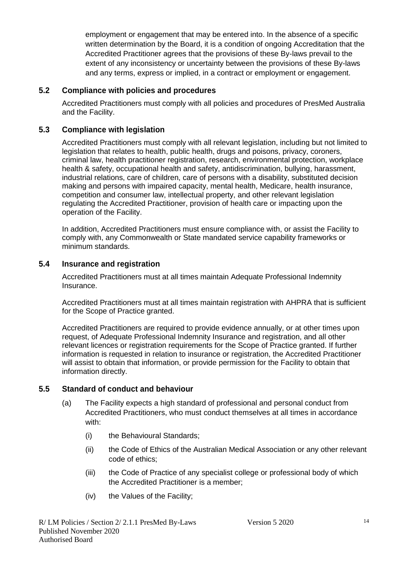employment or engagement that may be entered into. In the absence of a specific written determination by the Board, it is a condition of ongoing Accreditation that the Accredited Practitioner agrees that the provisions of these By-laws prevail to the extent of any inconsistency or uncertainty between the provisions of these By-laws and any terms, express or implied, in a contract or employment or engagement.

#### **5.2 Compliance with policies and procedures**

Accredited Practitioners must comply with all policies and procedures of PresMed Australia and the Facility.

#### **5.3 Compliance with legislation**

Accredited Practitioners must comply with all relevant legislation, including but not limited to legislation that relates to health, public health, drugs and poisons, privacy, coroners, criminal law, health practitioner registration, research, environmental protection, workplace health & safety, occupational health and safety, antidiscrimination, bullying, harassment, industrial relations, care of children, care of persons with a disability, substituted decision making and persons with impaired capacity, mental health, Medicare, health insurance, competition and consumer law, intellectual property, and other relevant legislation regulating the Accredited Practitioner, provision of health care or impacting upon the operation of the Facility.

In addition, Accredited Practitioners must ensure compliance with, or assist the Facility to comply with, any Commonwealth or State mandated service capability frameworks or minimum standards.

#### **5.4 Insurance and registration**

Accredited Practitioners must at all times maintain Adequate Professional Indemnity Insurance.

Accredited Practitioners must at all times maintain registration with AHPRA that is sufficient for the Scope of Practice granted.

Accredited Practitioners are required to provide evidence annually, or at other times upon request, of Adequate Professional Indemnity Insurance and registration, and all other relevant licences or registration requirements for the Scope of Practice granted. If further information is requested in relation to insurance or registration, the Accredited Practitioner will assist to obtain that information, or provide permission for the Facility to obtain that information directly.

#### **5.5 Standard of conduct and behaviour**

- (a) The Facility expects a high standard of professional and personal conduct from Accredited Practitioners, who must conduct themselves at all times in accordance with:
	- (i) the Behavioural Standards;
	- (ii) the Code of Ethics of the Australian Medical Association or any other relevant code of ethics;
	- (iii) the Code of Practice of any specialist college or professional body of which the Accredited Practitioner is a member;
	- (iv) the Values of the Facility;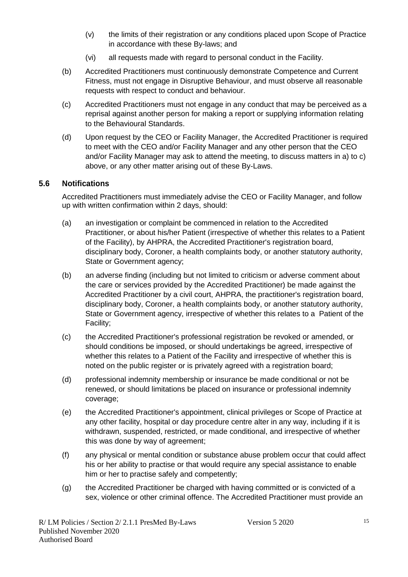- (v) the limits of their registration or any conditions placed upon Scope of Practice in accordance with these By-laws; and
- (vi) all requests made with regard to personal conduct in the Facility.
- (b) Accredited Practitioners must continuously demonstrate Competence and Current Fitness, must not engage in Disruptive Behaviour, and must observe all reasonable requests with respect to conduct and behaviour.
- (c) Accredited Practitioners must not engage in any conduct that may be perceived as a reprisal against another person for making a report or supplying information relating to the Behavioural Standards.
- (d) Upon request by the CEO or Facility Manager, the Accredited Practitioner is required to meet with the CEO and/or Facility Manager and any other person that the CEO and/or Facility Manager may ask to attend the meeting, to discuss matters in a) to c) above, or any other matter arising out of these By-Laws.

#### **5.6 Notifications**

Accredited Practitioners must immediately advise the CEO or Facility Manager, and follow up with written confirmation within 2 days, should:

- (a) an investigation or complaint be commenced in relation to the Accredited Practitioner, or about his/her Patient (irrespective of whether this relates to a Patient of the Facility), by AHPRA, the Accredited Practitioner's registration board, disciplinary body, Coroner, a health complaints body, or another statutory authority, State or Government agency;
- (b) an adverse finding (including but not limited to criticism or adverse comment about the care or services provided by the Accredited Practitioner) be made against the Accredited Practitioner by a civil court, AHPRA, the practitioner's registration board, disciplinary body, Coroner, a health complaints body, or another statutory authority, State or Government agency, irrespective of whether this relates to a Patient of the Facility;
- (c) the Accredited Practitioner's professional registration be revoked or amended, or should conditions be imposed, or should undertakings be agreed, irrespective of whether this relates to a Patient of the Facility and irrespective of whether this is noted on the public register or is privately agreed with a registration board;
- (d) professional indemnity membership or insurance be made conditional or not be renewed, or should limitations be placed on insurance or professional indemnity coverage;
- (e) the Accredited Practitioner's appointment, clinical privileges or Scope of Practice at any other facility, hospital or day procedure centre alter in any way, including if it is withdrawn, suspended, restricted, or made conditional, and irrespective of whether this was done by way of agreement;
- (f) any physical or mental condition or substance abuse problem occur that could affect his or her ability to practise or that would require any special assistance to enable him or her to practise safely and competently;
- (g) the Accredited Practitioner be charged with having committed or is convicted of a sex, violence or other criminal offence. The Accredited Practitioner must provide an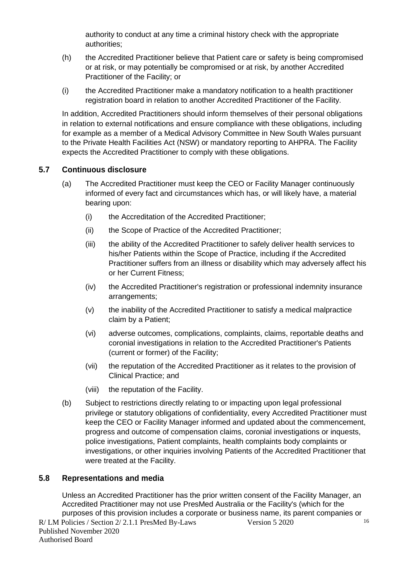authority to conduct at any time a criminal history check with the appropriate authorities;

- (h) the Accredited Practitioner believe that Patient care or safety is being compromised or at risk, or may potentially be compromised or at risk, by another Accredited Practitioner of the Facility; or
- (i) the Accredited Practitioner make a mandatory notification to a health practitioner registration board in relation to another Accredited Practitioner of the Facility.

In addition, Accredited Practitioners should inform themselves of their personal obligations in relation to external notifications and ensure compliance with these obligations, including for example as a member of a Medical Advisory Committee in New South Wales pursuant to the Private Health Facilities Act (NSW) or mandatory reporting to AHPRA. The Facility expects the Accredited Practitioner to comply with these obligations.

#### **5.7 Continuous disclosure**

- (a) The Accredited Practitioner must keep the CEO or Facility Manager continuously informed of every fact and circumstances which has, or will likely have, a material bearing upon:
	- (i) the Accreditation of the Accredited Practitioner;
	- (ii) the Scope of Practice of the Accredited Practitioner;
	- (iii) the ability of the Accredited Practitioner to safely deliver health services to his/her Patients within the Scope of Practice, including if the Accredited Practitioner suffers from an illness or disability which may adversely affect his or her Current Fitness;
	- (iv) the Accredited Practitioner's registration or professional indemnity insurance arrangements;
	- (v) the inability of the Accredited Practitioner to satisfy a medical malpractice claim by a Patient;
	- (vi) adverse outcomes, complications, complaints, claims, reportable deaths and coronial investigations in relation to the Accredited Practitioner's Patients (current or former) of the Facility;
	- (vii) the reputation of the Accredited Practitioner as it relates to the provision of Clinical Practice; and
	- (viii) the reputation of the Facility.
- (b) Subject to restrictions directly relating to or impacting upon legal professional privilege or statutory obligations of confidentiality, every Accredited Practitioner must keep the CEO or Facility Manager informed and updated about the commencement, progress and outcome of compensation claims, coronial investigations or inquests, police investigations, Patient complaints, health complaints body complaints or investigations, or other inquiries involving Patients of the Accredited Practitioner that were treated at the Facility.

#### **5.8 Representations and media**

Unless an Accredited Practitioner has the prior written consent of the Facility Manager, an Accredited Practitioner may not use PresMed Australia or the Facility's (which for the purposes of this provision includes a corporate or business name, its parent companies or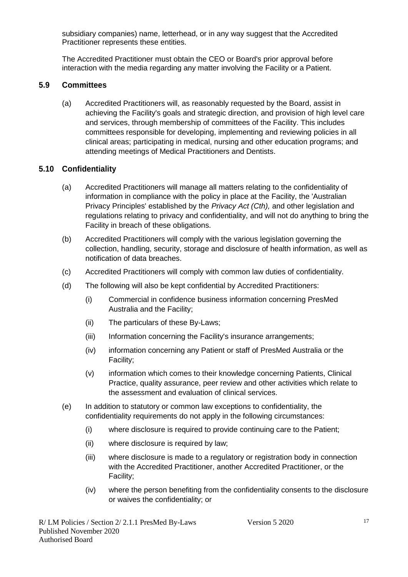subsidiary companies) name, letterhead, or in any way suggest that the Accredited Practitioner represents these entities.

The Accredited Practitioner must obtain the CEO or Board's prior approval before interaction with the media regarding any matter involving the Facility or a Patient.

#### **5.9 Committees**

(a) Accredited Practitioners will, as reasonably requested by the Board, assist in achieving the Facility's goals and strategic direction, and provision of high level care and services, through membership of committees of the Facility. This includes committees responsible for developing, implementing and reviewing policies in all clinical areas; participating in medical, nursing and other education programs; and attending meetings of Medical Practitioners and Dentists.

#### **5.10 Confidentiality**

- (a) Accredited Practitioners will manage all matters relating to the confidentiality of information in compliance with the policy in place at the Facility, the 'Australian Privacy Principles' established by the *Privacy Act (Cth),* and other legislation and regulations relating to privacy and confidentiality, and will not do anything to bring the Facility in breach of these obligations.
- (b) Accredited Practitioners will comply with the various legislation governing the collection, handling, security, storage and disclosure of health information, as well as notification of data breaches.
- (c) Accredited Practitioners will comply with common law duties of confidentiality.
- (d) The following will also be kept confidential by Accredited Practitioners:
	- (i) Commercial in confidence business information concerning PresMed Australia and the Facility;
	- (ii) The particulars of these By-Laws;
	- (iii) Information concerning the Facility's insurance arrangements;
	- (iv) information concerning any Patient or staff of PresMed Australia or the Facility;
	- (v) information which comes to their knowledge concerning Patients, Clinical Practice, quality assurance, peer review and other activities which relate to the assessment and evaluation of clinical services.
- (e) In addition to statutory or common law exceptions to confidentiality, the confidentiality requirements do not apply in the following circumstances:
	- (i) where disclosure is required to provide continuing care to the Patient;
	- (ii) where disclosure is required by law;
	- (iii) where disclosure is made to a regulatory or registration body in connection with the Accredited Practitioner, another Accredited Practitioner, or the Facility;
	- (iv) where the person benefiting from the confidentiality consents to the disclosure or waives the confidentiality; or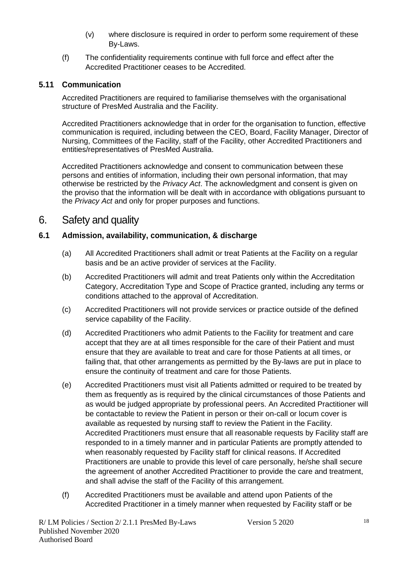- (v) where disclosure is required in order to perform some requirement of these By-Laws.
- (f) The confidentiality requirements continue with full force and effect after the Accredited Practitioner ceases to be Accredited.

#### **5.11 Communication**

Accredited Practitioners are required to familiarise themselves with the organisational structure of PresMed Australia and the Facility.

Accredited Practitioners acknowledge that in order for the organisation to function, effective communication is required, including between the CEO, Board, Facility Manager, Director of Nursing, Committees of the Facility, staff of the Facility, other Accredited Practitioners and entities/representatives of PresMed Australia.

Accredited Practitioners acknowledge and consent to communication between these persons and entities of information, including their own personal information, that may otherwise be restricted by the *Privacy Act*. The acknowledgment and consent is given on the proviso that the information will be dealt with in accordance with obligations pursuant to the *Privacy Act* and only for proper purposes and functions.

## 6. Safety and quality

#### **6.1 Admission, availability, communication, & discharge**

- (a) All Accredited Practitioners shall admit or treat Patients at the Facility on a regular basis and be an active provider of services at the Facility.
- (b) Accredited Practitioners will admit and treat Patients only within the Accreditation Category, Accreditation Type and Scope of Practice granted, including any terms or conditions attached to the approval of Accreditation.
- (c) Accredited Practitioners will not provide services or practice outside of the defined service capability of the Facility.
- (d) Accredited Practitioners who admit Patients to the Facility for treatment and care accept that they are at all times responsible for the care of their Patient and must ensure that they are available to treat and care for those Patients at all times, or failing that, that other arrangements as permitted by the By-laws are put in place to ensure the continuity of treatment and care for those Patients.
- (e) Accredited Practitioners must visit all Patients admitted or required to be treated by them as frequently as is required by the clinical circumstances of those Patients and as would be judged appropriate by professional peers. An Accredited Practitioner will be contactable to review the Patient in person or their on-call or locum cover is available as requested by nursing staff to review the Patient in the Facility. Accredited Practitioners must ensure that all reasonable requests by Facility staff are responded to in a timely manner and in particular Patients are promptly attended to when reasonably requested by Facility staff for clinical reasons. If Accredited Practitioners are unable to provide this level of care personally, he/she shall secure the agreement of another Accredited Practitioner to provide the care and treatment, and shall advise the staff of the Facility of this arrangement.
- (f) Accredited Practitioners must be available and attend upon Patients of the Accredited Practitioner in a timely manner when requested by Facility staff or be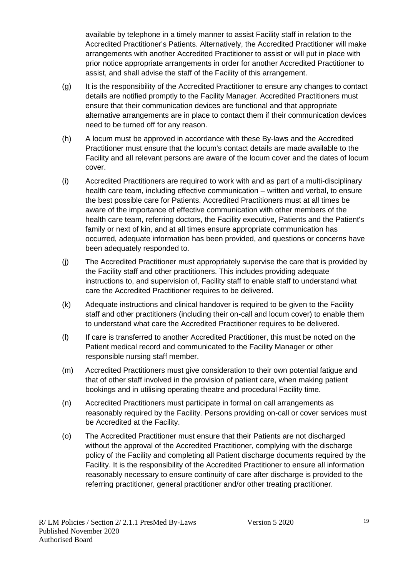available by telephone in a timely manner to assist Facility staff in relation to the Accredited Practitioner's Patients. Alternatively, the Accredited Practitioner will make arrangements with another Accredited Practitioner to assist or will put in place with prior notice appropriate arrangements in order for another Accredited Practitioner to assist, and shall advise the staff of the Facility of this arrangement.

- (g) It is the responsibility of the Accredited Practitioner to ensure any changes to contact details are notified promptly to the Facility Manager. Accredited Practitioners must ensure that their communication devices are functional and that appropriate alternative arrangements are in place to contact them if their communication devices need to be turned off for any reason.
- (h) A locum must be approved in accordance with these By-laws and the Accredited Practitioner must ensure that the locum's contact details are made available to the Facility and all relevant persons are aware of the locum cover and the dates of locum cover.
- (i) Accredited Practitioners are required to work with and as part of a multi-disciplinary health care team, including effective communication – written and verbal, to ensure the best possible care for Patients. Accredited Practitioners must at all times be aware of the importance of effective communication with other members of the health care team, referring doctors, the Facility executive, Patients and the Patient's family or next of kin, and at all times ensure appropriate communication has occurred, adequate information has been provided, and questions or concerns have been adequately responded to.
- (j) The Accredited Practitioner must appropriately supervise the care that is provided by the Facility staff and other practitioners. This includes providing adequate instructions to, and supervision of, Facility staff to enable staff to understand what care the Accredited Practitioner requires to be delivered.
- (k) Adequate instructions and clinical handover is required to be given to the Facility staff and other practitioners (including their on-call and locum cover) to enable them to understand what care the Accredited Practitioner requires to be delivered.
- (l) If care is transferred to another Accredited Practitioner, this must be noted on the Patient medical record and communicated to the Facility Manager or other responsible nursing staff member.
- (m) Accredited Practitioners must give consideration to their own potential fatigue and that of other staff involved in the provision of patient care, when making patient bookings and in utilising operating theatre and procedural Facility time.
- (n) Accredited Practitioners must participate in formal on call arrangements as reasonably required by the Facility. Persons providing on-call or cover services must be Accredited at the Facility.
- (o) The Accredited Practitioner must ensure that their Patients are not discharged without the approval of the Accredited Practitioner, complying with the discharge policy of the Facility and completing all Patient discharge documents required by the Facility. It is the responsibility of the Accredited Practitioner to ensure all information reasonably necessary to ensure continuity of care after discharge is provided to the referring practitioner, general practitioner and/or other treating practitioner.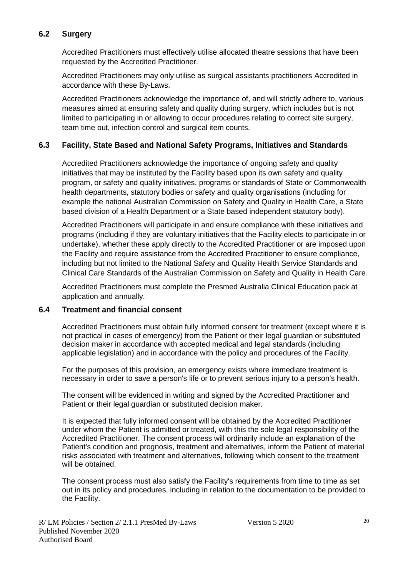#### **6.2 Surgery**

Accredited Practitioners must effectively utilise allocated theatre sessions that have been requested by the Accredited Practitioner.

Accredited Practitioners may only utilise as surgical assistants practitioners Accredited in accordance with these By-Laws.

Accredited Practitioners acknowledge the importance of, and will strictly adhere to, various measures aimed at ensuring safety and quality during surgery, which includes but is not limited to participating in or allowing to occur procedures relating to correct site surgery, team time out, infection control and surgical item counts.

#### **6.3 Facility, State Based and National Safety Programs, Initiatives and Standards**

Accredited Practitioners acknowledge the importance of ongoing safety and quality initiatives that may be instituted by the Facility based upon its own safety and quality program, or safety and quality initiatives, programs or standards of State or Commonwealth health departments, statutory bodies or safety and quality organisations (including for example the national Australian Commission on Safety and Quality in Health Care, a State based division of a Health Department or a State based independent statutory body).

Accredited Practitioners will participate in and ensure compliance with these initiatives and programs (including if they are voluntary initiatives that the Facility elects to participate in or undertake), whether these apply directly to the Accredited Practitioner or are imposed upon the Facility and require assistance from the Accredited Practitioner to ensure compliance, including but not limited to the National Safety and Quality Health Service Standards and Clinical Care Standards of the Australian Commission on Safety and Quality in Health Care.

Accredited Practitioners must complete the Presmed Australia Clinical Education pack at application and annually.

#### **6.4 Treatment and financial consent**

Accredited Practitioners must obtain fully informed consent for treatment (except where it is not practical in cases of emergency) from the Patient or their legal guardian or substituted decision maker in accordance with accepted medical and legal standards (including applicable legislation) and in accordance with the policy and procedures of the Facility.

For the purposes of this provision, an emergency exists where immediate treatment is necessary in order to save a person's life or to prevent serious injury to a person's health.

The consent will be evidenced in writing and signed by the Accredited Practitioner and Patient or their legal guardian or substituted decision maker.

It is expected that fully informed consent will be obtained by the Accredited Practitioner under whom the Patient is admitted or treated, with this the sole legal responsibility of the Accredited Practitioner. The consent process will ordinarily include an explanation of the Patient's condition and prognosis, treatment and alternatives, inform the Patient of material risks associated with treatment and alternatives, following which consent to the treatment will be obtained.

The consent process must also satisfy the Facility's requirements from time to time as set out in its policy and procedures, including in relation to the documentation to be provided to the Facility.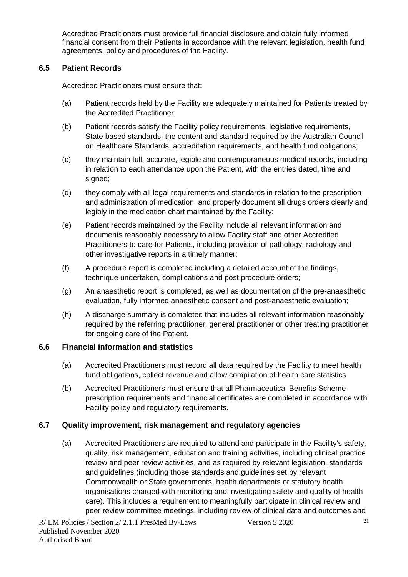Accredited Practitioners must provide full financial disclosure and obtain fully informed financial consent from their Patients in accordance with the relevant legislation, health fund agreements, policy and procedures of the Facility.

#### **6.5 Patient Records**

Accredited Practitioners must ensure that:

- (a) Patient records held by the Facility are adequately maintained for Patients treated by the Accredited Practitioner;
- (b) Patient records satisfy the Facility policy requirements, legislative requirements, State based standards, the content and standard required by the Australian Council on Healthcare Standards, accreditation requirements, and health fund obligations;
- (c) they maintain full, accurate, legible and contemporaneous medical records, including in relation to each attendance upon the Patient, with the entries dated, time and signed;
- (d) they comply with all legal requirements and standards in relation to the prescription and administration of medication, and properly document all drugs orders clearly and legibly in the medication chart maintained by the Facility;
- (e) Patient records maintained by the Facility include all relevant information and documents reasonably necessary to allow Facility staff and other Accredited Practitioners to care for Patients, including provision of pathology, radiology and other investigative reports in a timely manner;
- (f) A procedure report is completed including a detailed account of the findings, technique undertaken, complications and post procedure orders;
- (g) An anaesthetic report is completed, as well as documentation of the pre-anaesthetic evaluation, fully informed anaesthetic consent and post-anaesthetic evaluation;
- (h) A discharge summary is completed that includes all relevant information reasonably required by the referring practitioner, general practitioner or other treating practitioner for ongoing care of the Patient.

#### **6.6 Financial information and statistics**

- (a) Accredited Practitioners must record all data required by the Facility to meet health fund obligations, collect revenue and allow compilation of health care statistics.
- (b) Accredited Practitioners must ensure that all Pharmaceutical Benefits Scheme prescription requirements and financial certificates are completed in accordance with Facility policy and regulatory requirements.

#### **6.7 Quality improvement, risk management and regulatory agencies**

(a) Accredited Practitioners are required to attend and participate in the Facility's safety, quality, risk management, education and training activities, including clinical practice review and peer review activities, and as required by relevant legislation, standards and guidelines (including those standards and guidelines set by relevant Commonwealth or State governments, health departments or statutory health organisations charged with monitoring and investigating safety and quality of health care). This includes a requirement to meaningfully participate in clinical review and peer review committee meetings, including review of clinical data and outcomes and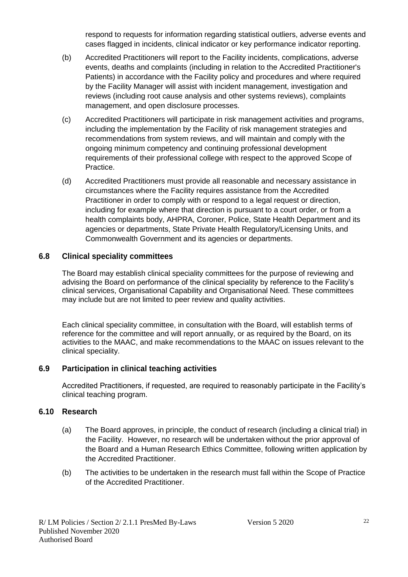respond to requests for information regarding statistical outliers, adverse events and cases flagged in incidents, clinical indicator or key performance indicator reporting.

- (b) Accredited Practitioners will report to the Facility incidents, complications, adverse events, deaths and complaints (including in relation to the Accredited Practitioner's Patients) in accordance with the Facility policy and procedures and where required by the Facility Manager will assist with incident management, investigation and reviews (including root cause analysis and other systems reviews), complaints management, and open disclosure processes.
- (c) Accredited Practitioners will participate in risk management activities and programs, including the implementation by the Facility of risk management strategies and recommendations from system reviews, and will maintain and comply with the ongoing minimum competency and continuing professional development requirements of their professional college with respect to the approved Scope of Practice.
- (d) Accredited Practitioners must provide all reasonable and necessary assistance in circumstances where the Facility requires assistance from the Accredited Practitioner in order to comply with or respond to a legal request or direction, including for example where that direction is pursuant to a court order, or from a health complaints body, AHPRA, Coroner, Police, State Health Department and its agencies or departments, State Private Health Regulatory/Licensing Units, and Commonwealth Government and its agencies or departments.

#### **6.8 Clinical speciality committees**

The Board may establish clinical speciality committees for the purpose of reviewing and advising the Board on performance of the clinical speciality by reference to the Facility's clinical services, Organisational Capability and Organisational Need. These committees may include but are not limited to peer review and quality activities.

Each clinical speciality committee, in consultation with the Board, will establish terms of reference for the committee and will report annually, or as required by the Board, on its activities to the MAAC, and make recommendations to the MAAC on issues relevant to the clinical speciality.

#### **6.9 Participation in clinical teaching activities**

Accredited Practitioners, if requested, are required to reasonably participate in the Facility's clinical teaching program.

#### **6.10 Research**

- (a) The Board approves, in principle, the conduct of research (including a clinical trial) in the Facility. However, no research will be undertaken without the prior approval of the Board and a Human Research Ethics Committee, following written application by the Accredited Practitioner.
- (b) The activities to be undertaken in the research must fall within the Scope of Practice of the Accredited Practitioner.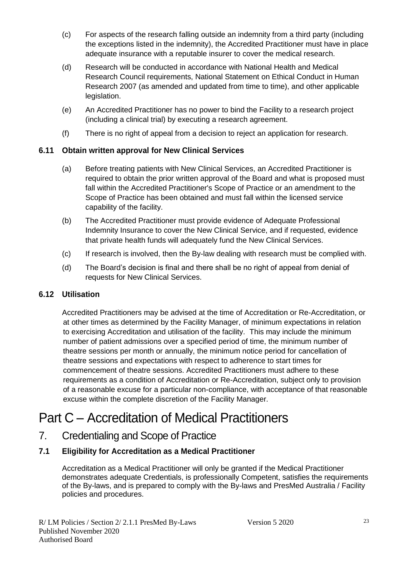- (c) For aspects of the research falling outside an indemnity from a third party (including the exceptions listed in the indemnity), the Accredited Practitioner must have in place adequate insurance with a reputable insurer to cover the medical research.
- (d) Research will be conducted in accordance with National Health and Medical Research Council requirements, National Statement on Ethical Conduct in Human Research 2007 (as amended and updated from time to time), and other applicable legislation.
- (e) An Accredited Practitioner has no power to bind the Facility to a research project (including a clinical trial) by executing a research agreement.
- (f) There is no right of appeal from a decision to reject an application for research.

#### **6.11 Obtain written approval for New Clinical Services**

- (a) Before treating patients with New Clinical Services, an Accredited Practitioner is required to obtain the prior written approval of the Board and what is proposed must fall within the Accredited Practitioner's Scope of Practice or an amendment to the Scope of Practice has been obtained and must fall within the licensed service capability of the facility.
- (b) The Accredited Practitioner must provide evidence of Adequate Professional Indemnity Insurance to cover the New Clinical Service, and if requested, evidence that private health funds will adequately fund the New Clinical Services.
- (c) If research is involved, then the By-law dealing with research must be complied with.
- (d) The Board's decision is final and there shall be no right of appeal from denial of requests for New Clinical Services.

#### **6.12 Utilisation**

Accredited Practitioners may be advised at the time of Accreditation or Re-Accreditation, or at other times as determined by the Facility Manager, of minimum expectations in relation to exercising Accreditation and utilisation of the facility. This may include the minimum number of patient admissions over a specified period of time, the minimum number of theatre sessions per month or annually, the minimum notice period for cancellation of theatre sessions and expectations with respect to adherence to start times for commencement of theatre sessions. Accredited Practitioners must adhere to these requirements as a condition of Accreditation or Re-Accreditation, subject only to provision of a reasonable excuse for a particular non-compliance, with acceptance of that reasonable excuse within the complete discretion of the Facility Manager.

# Part C – Accreditation of Medical Practitioners

7. Credentialing and Scope of Practice

#### **7.1 Eligibility for Accreditation as a Medical Practitioner**

Accreditation as a Medical Practitioner will only be granted if the Medical Practitioner demonstrates adequate Credentials, is professionally Competent, satisfies the requirements of the By-laws, and is prepared to comply with the By-laws and PresMed Australia / Facility policies and procedures.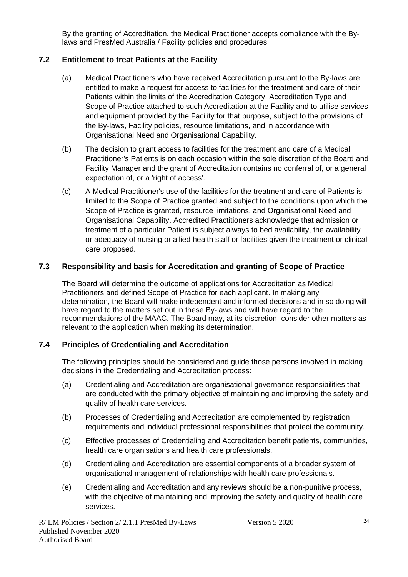By the granting of Accreditation, the Medical Practitioner accepts compliance with the Bylaws and PresMed Australia / Facility policies and procedures.

#### **7.2 Entitlement to treat Patients at the Facility**

- (a) Medical Practitioners who have received Accreditation pursuant to the By-laws are entitled to make a request for access to facilities for the treatment and care of their Patients within the limits of the Accreditation Category, Accreditation Type and Scope of Practice attached to such Accreditation at the Facility and to utilise services and equipment provided by the Facility for that purpose, subject to the provisions of the By-laws, Facility policies, resource limitations, and in accordance with Organisational Need and Organisational Capability.
- (b) The decision to grant access to facilities for the treatment and care of a Medical Practitioner's Patients is on each occasion within the sole discretion of the Board and Facility Manager and the grant of Accreditation contains no conferral of, or a general expectation of, or a 'right of access'.
- (c) A Medical Practitioner's use of the facilities for the treatment and care of Patients is limited to the Scope of Practice granted and subject to the conditions upon which the Scope of Practice is granted, resource limitations, and Organisational Need and Organisational Capability. Accredited Practitioners acknowledge that admission or treatment of a particular Patient is subject always to bed availability, the availability or adequacy of nursing or allied health staff or facilities given the treatment or clinical care proposed.

#### **7.3 Responsibility and basis for Accreditation and granting of Scope of Practice**

The Board will determine the outcome of applications for Accreditation as Medical Practitioners and defined Scope of Practice for each applicant. In making any determination, the Board will make independent and informed decisions and in so doing will have regard to the matters set out in these By-laws and will have regard to the recommendations of the MAAC. The Board may, at its discretion, consider other matters as relevant to the application when making its determination.

#### **7.4 Principles of Credentialing and Accreditation**

The following principles should be considered and guide those persons involved in making decisions in the Credentialing and Accreditation process:

- (a) Credentialing and Accreditation are organisational governance responsibilities that are conducted with the primary objective of maintaining and improving the safety and quality of health care services.
- (b) Processes of Credentialing and Accreditation are complemented by registration requirements and individual professional responsibilities that protect the community.
- (c) Effective processes of Credentialing and Accreditation benefit patients, communities, health care organisations and health care professionals.
- (d) Credentialing and Accreditation are essential components of a broader system of organisational management of relationships with health care professionals.
- (e) Credentialing and Accreditation and any reviews should be a non-punitive process, with the objective of maintaining and improving the safety and quality of health care services.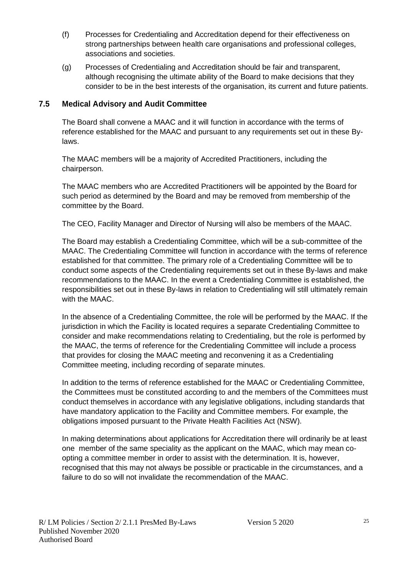- (f) Processes for Credentialing and Accreditation depend for their effectiveness on strong partnerships between health care organisations and professional colleges, associations and societies.
- (g) Processes of Credentialing and Accreditation should be fair and transparent, although recognising the ultimate ability of the Board to make decisions that they consider to be in the best interests of the organisation, its current and future patients.

#### **7.5 Medical Advisory and Audit Committee**

The Board shall convene a MAAC and it will function in accordance with the terms of reference established for the MAAC and pursuant to any requirements set out in these Bylaws.

The MAAC members will be a majority of Accredited Practitioners, including the chairperson.

The MAAC members who are Accredited Practitioners will be appointed by the Board for such period as determined by the Board and may be removed from membership of the committee by the Board.

The CEO, Facility Manager and Director of Nursing will also be members of the MAAC.

The Board may establish a Credentialing Committee, which will be a sub-committee of the MAAC. The Credentialing Committee will function in accordance with the terms of reference established for that committee. The primary role of a Credentialing Committee will be to conduct some aspects of the Credentialing requirements set out in these By-laws and make recommendations to the MAAC. In the event a Credentialing Committee is established, the responsibilities set out in these By-laws in relation to Credentialing will still ultimately remain with the MAAC.

In the absence of a Credentialing Committee, the role will be performed by the MAAC. If the jurisdiction in which the Facility is located requires a separate Credentialing Committee to consider and make recommendations relating to Credentialing, but the role is performed by the MAAC, the terms of reference for the Credentialing Committee will include a process that provides for closing the MAAC meeting and reconvening it as a Credentialing Committee meeting, including recording of separate minutes.

In addition to the terms of reference established for the MAAC or Credentialing Committee, the Committees must be constituted according to and the members of the Committees must conduct themselves in accordance with any legislative obligations, including standards that have mandatory application to the Facility and Committee members. For example, the obligations imposed pursuant to the Private Health Facilities Act (NSW).

In making determinations about applications for Accreditation there will ordinarily be at least one member of the same speciality as the applicant on the MAAC, which may mean coopting a committee member in order to assist with the determination. It is, however, recognised that this may not always be possible or practicable in the circumstances, and a failure to do so will not invalidate the recommendation of the MAAC.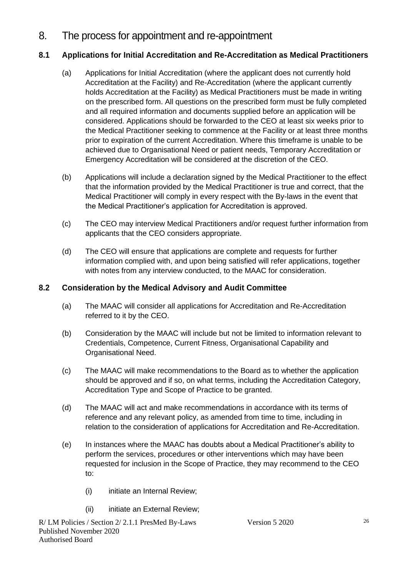8. The process for appointment and re-appointment

#### **8.1 Applications for Initial Accreditation and Re-Accreditation as Medical Practitioners**

- (a) Applications for Initial Accreditation (where the applicant does not currently hold Accreditation at the Facility) and Re-Accreditation (where the applicant currently holds Accreditation at the Facility) as Medical Practitioners must be made in writing on the prescribed form. All questions on the prescribed form must be fully completed and all required information and documents supplied before an application will be considered. Applications should be forwarded to the CEO at least six weeks prior to the Medical Practitioner seeking to commence at the Facility or at least three months prior to expiration of the current Accreditation. Where this timeframe is unable to be achieved due to Organisational Need or patient needs, Temporary Accreditation or Emergency Accreditation will be considered at the discretion of the CEO.
- (b) Applications will include a declaration signed by the Medical Practitioner to the effect that the information provided by the Medical Practitioner is true and correct, that the Medical Practitioner will comply in every respect with the By-laws in the event that the Medical Practitioner's application for Accreditation is approved.
- (c) The CEO may interview Medical Practitioners and/or request further information from applicants that the CEO considers appropriate.
- (d) The CEO will ensure that applications are complete and requests for further information complied with, and upon being satisfied will refer applications, together with notes from any interview conducted, to the MAAC for consideration.

#### **8.2 Consideration by the Medical Advisory and Audit Committee**

- (a) The MAAC will consider all applications for Accreditation and Re-Accreditation referred to it by the CEO.
- (b) Consideration by the MAAC will include but not be limited to information relevant to Credentials, Competence, Current Fitness, Organisational Capability and Organisational Need.
- (c) The MAAC will make recommendations to the Board as to whether the application should be approved and if so, on what terms, including the Accreditation Category, Accreditation Type and Scope of Practice to be granted.
- (d) The MAAC will act and make recommendations in accordance with its terms of reference and any relevant policy, as amended from time to time, including in relation to the consideration of applications for Accreditation and Re-Accreditation.
- (e) In instances where the MAAC has doubts about a Medical Practitioner's ability to perform the services, procedures or other interventions which may have been requested for inclusion in the Scope of Practice, they may recommend to the CEO to:
	- (i) initiate an Internal Review;
	- (ii) initiate an External Review;

R/ LM Policies / Section 2/ 2.1.1 PresMed By-Laws Version 5 2020 Published November 2020 Authorised Board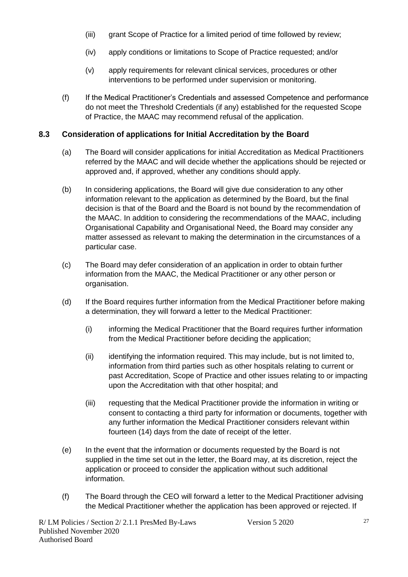- (iii) grant Scope of Practice for a limited period of time followed by review;
- (iv) apply conditions or limitations to Scope of Practice requested; and/or
- (v) apply requirements for relevant clinical services, procedures or other interventions to be performed under supervision or monitoring.
- (f) If the Medical Practitioner's Credentials and assessed Competence and performance do not meet the Threshold Credentials (if any) established for the requested Scope of Practice, the MAAC may recommend refusal of the application.

#### **8.3 Consideration of applications for Initial Accreditation by the Board**

- (a) The Board will consider applications for initial Accreditation as Medical Practitioners referred by the MAAC and will decide whether the applications should be rejected or approved and, if approved, whether any conditions should apply.
- (b) In considering applications, the Board will give due consideration to any other information relevant to the application as determined by the Board, but the final decision is that of the Board and the Board is not bound by the recommendation of the MAAC. In addition to considering the recommendations of the MAAC, including Organisational Capability and Organisational Need, the Board may consider any matter assessed as relevant to making the determination in the circumstances of a particular case.
- (c) The Board may defer consideration of an application in order to obtain further information from the MAAC, the Medical Practitioner or any other person or organisation.
- (d) If the Board requires further information from the Medical Practitioner before making a determination, they will forward a letter to the Medical Practitioner:
	- (i) informing the Medical Practitioner that the Board requires further information from the Medical Practitioner before deciding the application;
	- (ii) identifying the information required. This may include, but is not limited to, information from third parties such as other hospitals relating to current or past Accreditation, Scope of Practice and other issues relating to or impacting upon the Accreditation with that other hospital; and
	- (iii) requesting that the Medical Practitioner provide the information in writing or consent to contacting a third party for information or documents, together with any further information the Medical Practitioner considers relevant within fourteen (14) days from the date of receipt of the letter.
- (e) In the event that the information or documents requested by the Board is not supplied in the time set out in the letter, the Board may, at its discretion, reject the application or proceed to consider the application without such additional information.
- (f) The Board through the CEO will forward a letter to the Medical Practitioner advising the Medical Practitioner whether the application has been approved or rejected. If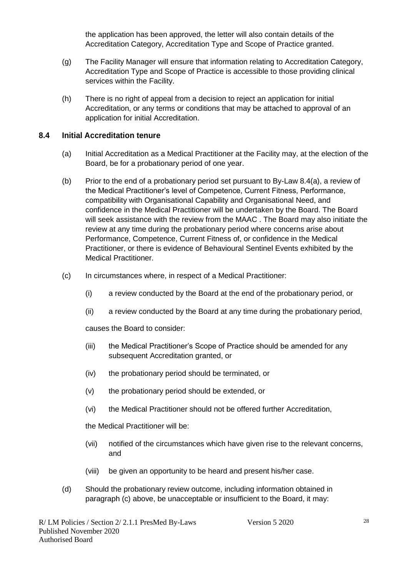the application has been approved, the letter will also contain details of the Accreditation Category, Accreditation Type and Scope of Practice granted.

- (g) The Facility Manager will ensure that information relating to Accreditation Category, Accreditation Type and Scope of Practice is accessible to those providing clinical services within the Facility.
- (h) There is no right of appeal from a decision to reject an application for initial Accreditation, or any terms or conditions that may be attached to approval of an application for initial Accreditation.

#### **8.4 Initial Accreditation tenure**

- (a) Initial Accreditation as a Medical Practitioner at the Facility may, at the election of the Board, be for a probationary period of one year.
- (b) Prior to the end of a probationary period set pursuant to By-Law 8.4(a), a review of the Medical Practitioner's level of Competence, Current Fitness, Performance, compatibility with Organisational Capability and Organisational Need, and confidence in the Medical Practitioner will be undertaken by the Board. The Board will seek assistance with the review from the MAAC . The Board may also initiate the review at any time during the probationary period where concerns arise about Performance, Competence, Current Fitness of, or confidence in the Medical Practitioner, or there is evidence of Behavioural Sentinel Events exhibited by the Medical Practitioner.
- (c) In circumstances where, in respect of a Medical Practitioner:
	- (i) a review conducted by the Board at the end of the probationary period, or
	- (ii) a review conducted by the Board at any time during the probationary period,

causes the Board to consider:

- (iii) the Medical Practitioner's Scope of Practice should be amended for any subsequent Accreditation granted, or
- (iv) the probationary period should be terminated, or
- (v) the probationary period should be extended, or
- (vi) the Medical Practitioner should not be offered further Accreditation,

the Medical Practitioner will be:

- (vii) notified of the circumstances which have given rise to the relevant concerns, and
- (viii) be given an opportunity to be heard and present his/her case.
- (d) Should the probationary review outcome, including information obtained in paragraph (c) above, be unacceptable or insufficient to the Board, it may: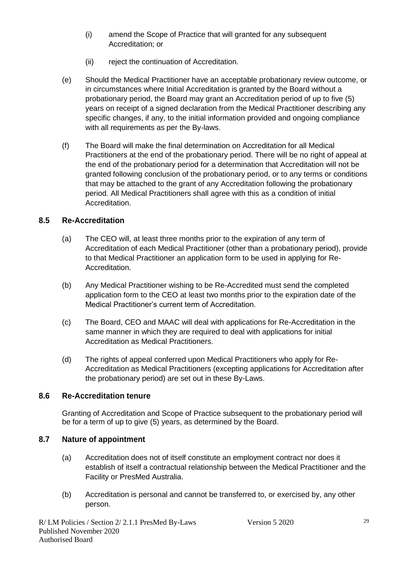- (i) amend the Scope of Practice that will granted for any subsequent Accreditation; or
- (ii) reject the continuation of Accreditation.
- (e) Should the Medical Practitioner have an acceptable probationary review outcome, or in circumstances where Initial Accreditation is granted by the Board without a probationary period, the Board may grant an Accreditation period of up to five (5) years on receipt of a signed declaration from the Medical Practitioner describing any specific changes, if any, to the initial information provided and ongoing compliance with all requirements as per the By-laws.
- (f) The Board will make the final determination on Accreditation for all Medical Practitioners at the end of the probationary period. There will be no right of appeal at the end of the probationary period for a determination that Accreditation will not be granted following conclusion of the probationary period, or to any terms or conditions that may be attached to the grant of any Accreditation following the probationary period. All Medical Practitioners shall agree with this as a condition of initial Accreditation.

#### **8.5 Re-Accreditation**

- (a) The CEO will, at least three months prior to the expiration of any term of Accreditation of each Medical Practitioner (other than a probationary period), provide to that Medical Practitioner an application form to be used in applying for Re-Accreditation.
- (b) Any Medical Practitioner wishing to be Re-Accredited must send the completed application form to the CEO at least two months prior to the expiration date of the Medical Practitioner's current term of Accreditation.
- (c) The Board, CEO and MAAC will deal with applications for Re-Accreditation in the same manner in which they are required to deal with applications for initial Accreditation as Medical Practitioners.
- (d) The rights of appeal conferred upon Medical Practitioners who apply for Re-Accreditation as Medical Practitioners (excepting applications for Accreditation after the probationary period) are set out in these By-Laws.

#### **8.6 Re-Accreditation tenure**

Granting of Accreditation and Scope of Practice subsequent to the probationary period will be for a term of up to give (5) years, as determined by the Board.

#### **8.7 Nature of appointment**

- (a) Accreditation does not of itself constitute an employment contract nor does it establish of itself a contractual relationship between the Medical Practitioner and the Facility or PresMed Australia.
- (b) Accreditation is personal and cannot be transferred to, or exercised by, any other person.

R/ LM Policies / Section 2/ 2.1.1 PresMed By-Laws Version 5 2020 Published November 2020 Authorised Board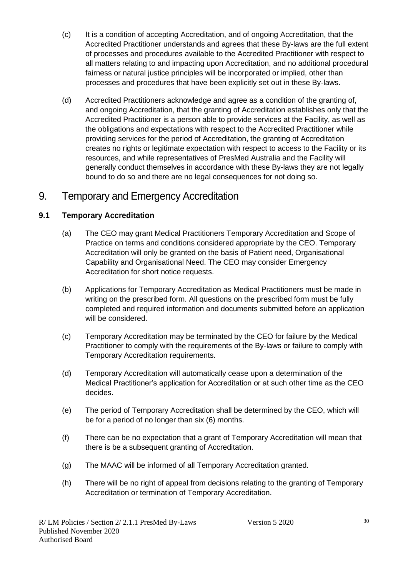- (c) It is a condition of accepting Accreditation, and of ongoing Accreditation, that the Accredited Practitioner understands and agrees that these By-laws are the full extent of processes and procedures available to the Accredited Practitioner with respect to all matters relating to and impacting upon Accreditation, and no additional procedural fairness or natural justice principles will be incorporated or implied, other than processes and procedures that have been explicitly set out in these By-laws.
- (d) Accredited Practitioners acknowledge and agree as a condition of the granting of, and ongoing Accreditation, that the granting of Accreditation establishes only that the Accredited Practitioner is a person able to provide services at the Facility, as well as the obligations and expectations with respect to the Accredited Practitioner while providing services for the period of Accreditation, the granting of Accreditation creates no rights or legitimate expectation with respect to access to the Facility or its resources, and while representatives of PresMed Australia and the Facility will generally conduct themselves in accordance with these By-laws they are not legally bound to do so and there are no legal consequences for not doing so.

## 9. Temporary and Emergency Accreditation

#### **9.1 Temporary Accreditation**

- (a) The CEO may grant Medical Practitioners Temporary Accreditation and Scope of Practice on terms and conditions considered appropriate by the CEO. Temporary Accreditation will only be granted on the basis of Patient need, Organisational Capability and Organisational Need. The CEO may consider Emergency Accreditation for short notice requests.
- (b) Applications for Temporary Accreditation as Medical Practitioners must be made in writing on the prescribed form. All questions on the prescribed form must be fully completed and required information and documents submitted before an application will be considered.
- (c) Temporary Accreditation may be terminated by the CEO for failure by the Medical Practitioner to comply with the requirements of the By-laws or failure to comply with Temporary Accreditation requirements.
- (d) Temporary Accreditation will automatically cease upon a determination of the Medical Practitioner's application for Accreditation or at such other time as the CEO decides.
- (e) The period of Temporary Accreditation shall be determined by the CEO, which will be for a period of no longer than six (6) months.
- (f) There can be no expectation that a grant of Temporary Accreditation will mean that there is be a subsequent granting of Accreditation.
- (g) The MAAC will be informed of all Temporary Accreditation granted.
- (h) There will be no right of appeal from decisions relating to the granting of Temporary Accreditation or termination of Temporary Accreditation.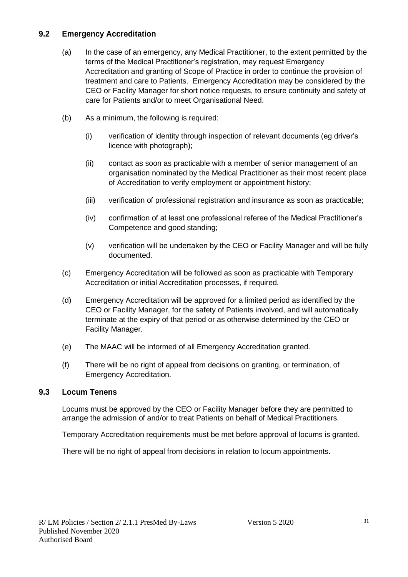#### **9.2 Emergency Accreditation**

- (a) In the case of an emergency, any Medical Practitioner, to the extent permitted by the terms of the Medical Practitioner's registration, may request Emergency Accreditation and granting of Scope of Practice in order to continue the provision of treatment and care to Patients. Emergency Accreditation may be considered by the CEO or Facility Manager for short notice requests, to ensure continuity and safety of care for Patients and/or to meet Organisational Need.
- (b) As a minimum, the following is required:
	- (i) verification of identity through inspection of relevant documents (eg driver's licence with photograph);
	- (ii) contact as soon as practicable with a member of senior management of an organisation nominated by the Medical Practitioner as their most recent place of Accreditation to verify employment or appointment history;
	- (iii) verification of professional registration and insurance as soon as practicable;
	- (iv) confirmation of at least one professional referee of the Medical Practitioner's Competence and good standing;
	- (v) verification will be undertaken by the CEO or Facility Manager and will be fully documented.
- (c) Emergency Accreditation will be followed as soon as practicable with Temporary Accreditation or initial Accreditation processes, if required.
- (d) Emergency Accreditation will be approved for a limited period as identified by the CEO or Facility Manager, for the safety of Patients involved, and will automatically terminate at the expiry of that period or as otherwise determined by the CEO or Facility Manager.
- (e) The MAAC will be informed of all Emergency Accreditation granted.
- (f) There will be no right of appeal from decisions on granting, or termination, of Emergency Accreditation.

#### **9.3 Locum Tenens**

Locums must be approved by the CEO or Facility Manager before they are permitted to arrange the admission of and/or to treat Patients on behalf of Medical Practitioners.

Temporary Accreditation requirements must be met before approval of locums is granted.

There will be no right of appeal from decisions in relation to locum appointments.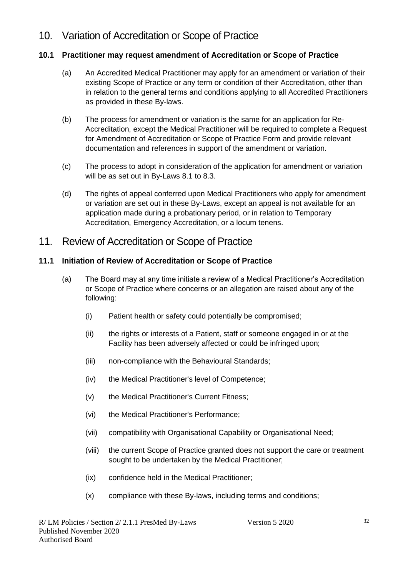# 10. Variation of Accreditation or Scope of Practice

#### **10.1 Practitioner may request amendment of Accreditation or Scope of Practice**

- (a) An Accredited Medical Practitioner may apply for an amendment or variation of their existing Scope of Practice or any term or condition of their Accreditation, other than in relation to the general terms and conditions applying to all Accredited Practitioners as provided in these By-laws.
- (b) The process for amendment or variation is the same for an application for Re-Accreditation, except the Medical Practitioner will be required to complete a Request for Amendment of Accreditation or Scope of Practice Form and provide relevant documentation and references in support of the amendment or variation.
- (c) The process to adopt in consideration of the application for amendment or variation will be as set out in By-Laws 8.1 to 8.3.
- (d) The rights of appeal conferred upon Medical Practitioners who apply for amendment or variation are set out in these By-Laws, except an appeal is not available for an application made during a probationary period, or in relation to Temporary Accreditation, Emergency Accreditation, or a locum tenens.

### 11. Review of Accreditation or Scope of Practice

#### **11.1 Initiation of Review of Accreditation or Scope of Practice**

- (a) The Board may at any time initiate a review of a Medical Practitioner's Accreditation or Scope of Practice where concerns or an allegation are raised about any of the following:
	- (i) Patient health or safety could potentially be compromised;
	- (ii) the rights or interests of a Patient, staff or someone engaged in or at the Facility has been adversely affected or could be infringed upon;
	- (iii) non-compliance with the Behavioural Standards;
	- (iv) the Medical Practitioner's level of Competence;
	- (v) the Medical Practitioner's Current Fitness;
	- (vi) the Medical Practitioner's Performance;
	- (vii) compatibility with Organisational Capability or Organisational Need;
	- (viii) the current Scope of Practice granted does not support the care or treatment sought to be undertaken by the Medical Practitioner;
	- (ix) confidence held in the Medical Practitioner;
	- (x) compliance with these By-laws, including terms and conditions;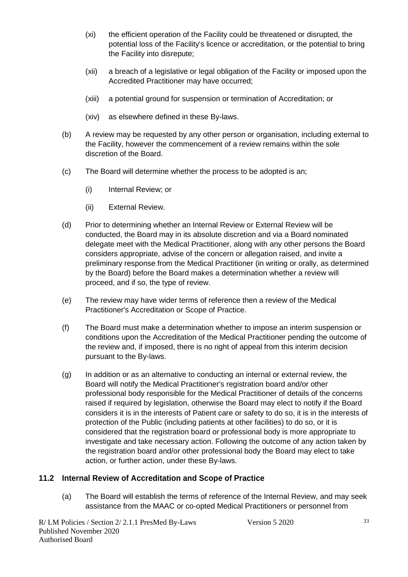- (xi) the efficient operation of the Facility could be threatened or disrupted, the potential loss of the Facility's licence or accreditation, or the potential to bring the Facility into disrepute;
- (xii) a breach of a legislative or legal obligation of the Facility or imposed upon the Accredited Practitioner may have occurred;
- (xiii) a potential ground for suspension or termination of Accreditation; or
- (xiv) as elsewhere defined in these By-laws.
- (b) A review may be requested by any other person or organisation, including external to the Facility, however the commencement of a review remains within the sole discretion of the Board.
- (c) The Board will determine whether the process to be adopted is an;
	- (i) Internal Review; or
	- (ii) External Review.
- (d) Prior to determining whether an Internal Review or External Review will be conducted, the Board may in its absolute discretion and via a Board nominated delegate meet with the Medical Practitioner, along with any other persons the Board considers appropriate, advise of the concern or allegation raised, and invite a preliminary response from the Medical Practitioner (in writing or orally, as determined by the Board) before the Board makes a determination whether a review will proceed, and if so, the type of review.
- (e) The review may have wider terms of reference then a review of the Medical Practitioner's Accreditation or Scope of Practice.
- (f) The Board must make a determination whether to impose an interim suspension or conditions upon the Accreditation of the Medical Practitioner pending the outcome of the review and, if imposed, there is no right of appeal from this interim decision pursuant to the By-laws.
- (g) In addition or as an alternative to conducting an internal or external review, the Board will notify the Medical Practitioner's registration board and/or other professional body responsible for the Medical Practitioner of details of the concerns raised if required by legislation, otherwise the Board may elect to notify if the Board considers it is in the interests of Patient care or safety to do so, it is in the interests of protection of the Public (including patients at other facilities) to do so, or it is considered that the registration board or professional body is more appropriate to investigate and take necessary action. Following the outcome of any action taken by the registration board and/or other professional body the Board may elect to take action, or further action, under these By-laws.

#### **11.2 Internal Review of Accreditation and Scope of Practice**

(a) The Board will establish the terms of reference of the Internal Review, and may seek assistance from the MAAC or co-opted Medical Practitioners or personnel from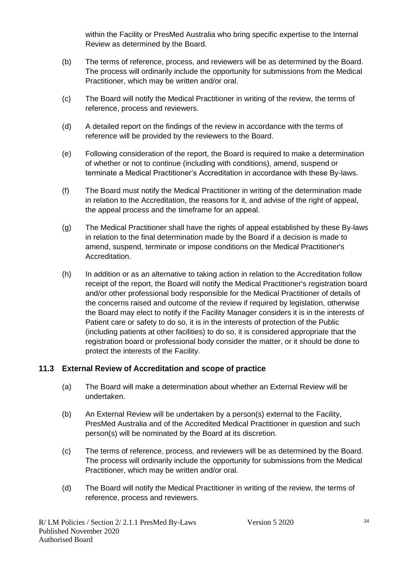within the Facility or PresMed Australia who bring specific expertise to the Internal Review as determined by the Board.

- (b) The terms of reference, process, and reviewers will be as determined by the Board. The process will ordinarily include the opportunity for submissions from the Medical Practitioner, which may be written and/or oral.
- (c) The Board will notify the Medical Practitioner in writing of the review, the terms of reference, process and reviewers.
- (d) A detailed report on the findings of the review in accordance with the terms of reference will be provided by the reviewers to the Board.
- (e) Following consideration of the report, the Board is required to make a determination of whether or not to continue (including with conditions), amend, suspend or terminate a Medical Practitioner's Accreditation in accordance with these By-laws.
- (f) The Board must notify the Medical Practitioner in writing of the determination made in relation to the Accreditation, the reasons for it, and advise of the right of appeal, the appeal process and the timeframe for an appeal.
- (g) The Medical Practitioner shall have the rights of appeal established by these By-laws in relation to the final determination made by the Board if a decision is made to amend, suspend, terminate or impose conditions on the Medical Practitioner's Accreditation.
- (h) In addition or as an alternative to taking action in relation to the Accreditation follow receipt of the report, the Board will notify the Medical Practitioner's registration board and/or other professional body responsible for the Medical Practitioner of details of the concerns raised and outcome of the review if required by legislation, otherwise the Board may elect to notify if the Facility Manager considers it is in the interests of Patient care or safety to do so, it is in the interests of protection of the Public (including patients at other facilities) to do so, it is considered appropriate that the registration board or professional body consider the matter, or it should be done to protect the interests of the Facility.

#### **11.3 External Review of Accreditation and scope of practice**

- (a) The Board will make a determination about whether an External Review will be undertaken.
- (b) An External Review will be undertaken by a person(s) external to the Facility, PresMed Australia and of the Accredited Medical Practitioner in question and such person(s) will be nominated by the Board at its discretion.
- (c) The terms of reference, process, and reviewers will be as determined by the Board. The process will ordinarily include the opportunity for submissions from the Medical Practitioner, which may be written and/or oral.
- (d) The Board will notify the Medical Practitioner in writing of the review, the terms of reference, process and reviewers.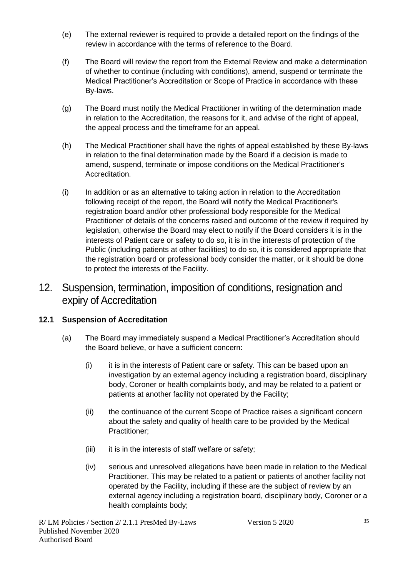- (e) The external reviewer is required to provide a detailed report on the findings of the review in accordance with the terms of reference to the Board.
- (f) The Board will review the report from the External Review and make a determination of whether to continue (including with conditions), amend, suspend or terminate the Medical Practitioner's Accreditation or Scope of Practice in accordance with these By-laws.
- (g) The Board must notify the Medical Practitioner in writing of the determination made in relation to the Accreditation, the reasons for it, and advise of the right of appeal, the appeal process and the timeframe for an appeal.
- (h) The Medical Practitioner shall have the rights of appeal established by these By-laws in relation to the final determination made by the Board if a decision is made to amend, suspend, terminate or impose conditions on the Medical Practitioner's Accreditation.
- (i) In addition or as an alternative to taking action in relation to the Accreditation following receipt of the report, the Board will notify the Medical Practitioner's registration board and/or other professional body responsible for the Medical Practitioner of details of the concerns raised and outcome of the review if required by legislation, otherwise the Board may elect to notify if the Board considers it is in the interests of Patient care or safety to do so, it is in the interests of protection of the Public (including patients at other facilities) to do so, it is considered appropriate that the registration board or professional body consider the matter, or it should be done to protect the interests of the Facility.

# 12. Suspension, termination, imposition of conditions, resignation and expiry of Accreditation

#### **12.1 Suspension of Accreditation**

- (a) The Board may immediately suspend a Medical Practitioner's Accreditation should the Board believe, or have a sufficient concern:
	- (i) it is in the interests of Patient care or safety. This can be based upon an investigation by an external agency including a registration board, disciplinary body, Coroner or health complaints body, and may be related to a patient or patients at another facility not operated by the Facility;
	- (ii) the continuance of the current Scope of Practice raises a significant concern about the safety and quality of health care to be provided by the Medical Practitioner;
	- (iii) it is in the interests of staff welfare or safety;
	- (iv) serious and unresolved allegations have been made in relation to the Medical Practitioner. This may be related to a patient or patients of another facility not operated by the Facility, including if these are the subject of review by an external agency including a registration board, disciplinary body, Coroner or a health complaints body;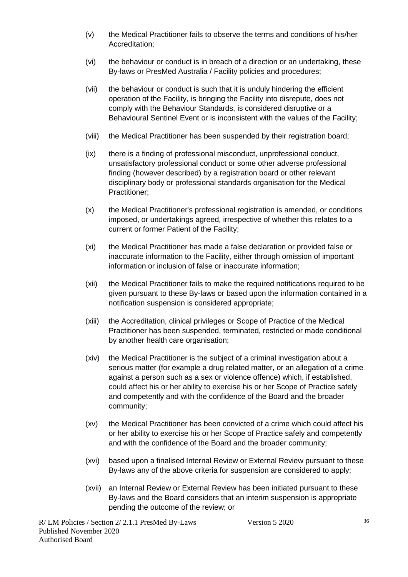- (v) the Medical Practitioner fails to observe the terms and conditions of his/her Accreditation;
- (vi) the behaviour or conduct is in breach of a direction or an undertaking, these By-laws or PresMed Australia / Facility policies and procedures;
- (vii) the behaviour or conduct is such that it is unduly hindering the efficient operation of the Facility, is bringing the Facility into disrepute, does not comply with the Behaviour Standards, is considered disruptive or a Behavioural Sentinel Event or is inconsistent with the values of the Facility;
- (viii) the Medical Practitioner has been suspended by their registration board;
- (ix) there is a finding of professional misconduct, unprofessional conduct, unsatisfactory professional conduct or some other adverse professional finding (however described) by a registration board or other relevant disciplinary body or professional standards organisation for the Medical Practitioner;
- (x) the Medical Practitioner's professional registration is amended, or conditions imposed, or undertakings agreed, irrespective of whether this relates to a current or former Patient of the Facility;
- (xi) the Medical Practitioner has made a false declaration or provided false or inaccurate information to the Facility, either through omission of important information or inclusion of false or inaccurate information;
- (xii) the Medical Practitioner fails to make the required notifications required to be given pursuant to these By-laws or based upon the information contained in a notification suspension is considered appropriate;
- (xiii) the Accreditation, clinical privileges or Scope of Practice of the Medical Practitioner has been suspended, terminated, restricted or made conditional by another health care organisation;
- (xiv) the Medical Practitioner is the subject of a criminal investigation about a serious matter (for example a drug related matter, or an allegation of a crime against a person such as a sex or violence offence) which, if established, could affect his or her ability to exercise his or her Scope of Practice safely and competently and with the confidence of the Board and the broader community;
- (xv) the Medical Practitioner has been convicted of a crime which could affect his or her ability to exercise his or her Scope of Practice safely and competently and with the confidence of the Board and the broader community;
- (xvi) based upon a finalised Internal Review or External Review pursuant to these By-laws any of the above criteria for suspension are considered to apply;
- (xvii) an Internal Review or External Review has been initiated pursuant to these By-laws and the Board considers that an interim suspension is appropriate pending the outcome of the review; or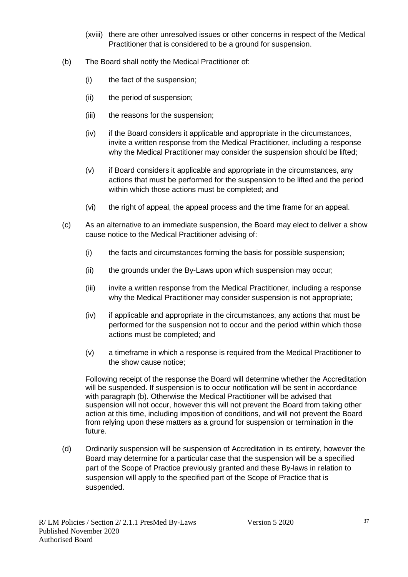- (xviii) there are other unresolved issues or other concerns in respect of the Medical Practitioner that is considered to be a ground for suspension.
- (b) The Board shall notify the Medical Practitioner of:
	- (i) the fact of the suspension;
	- (ii) the period of suspension;
	- (iii) the reasons for the suspension;
	- (iv) if the Board considers it applicable and appropriate in the circumstances, invite a written response from the Medical Practitioner, including a response why the Medical Practitioner may consider the suspension should be lifted;
	- (v) if Board considers it applicable and appropriate in the circumstances, any actions that must be performed for the suspension to be lifted and the period within which those actions must be completed; and
	- (vi) the right of appeal, the appeal process and the time frame for an appeal.
- (c) As an alternative to an immediate suspension, the Board may elect to deliver a show cause notice to the Medical Practitioner advising of:
	- (i) the facts and circumstances forming the basis for possible suspension;
	- (ii) the grounds under the By-Laws upon which suspension may occur;
	- (iii) invite a written response from the Medical Practitioner, including a response why the Medical Practitioner may consider suspension is not appropriate:
	- (iv) if applicable and appropriate in the circumstances, any actions that must be performed for the suspension not to occur and the period within which those actions must be completed; and
	- (v) a timeframe in which a response is required from the Medical Practitioner to the show cause notice;

Following receipt of the response the Board will determine whether the Accreditation will be suspended. If suspension is to occur notification will be sent in accordance with paragraph (b). Otherwise the Medical Practitioner will be advised that suspension will not occur, however this will not prevent the Board from taking other action at this time, including imposition of conditions, and will not prevent the Board from relying upon these matters as a ground for suspension or termination in the future.

(d) Ordinarily suspension will be suspension of Accreditation in its entirety, however the Board may determine for a particular case that the suspension will be a specified part of the Scope of Practice previously granted and these By-laws in relation to suspension will apply to the specified part of the Scope of Practice that is suspended.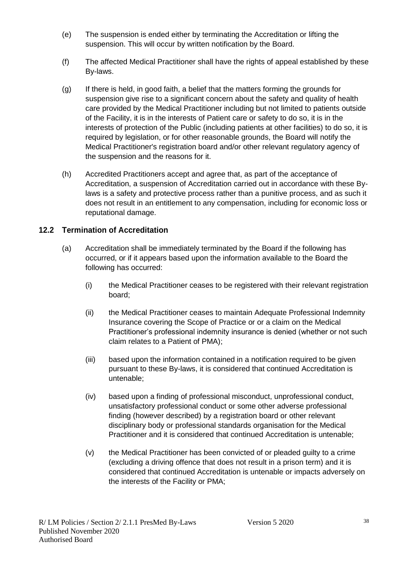- (e) The suspension is ended either by terminating the Accreditation or lifting the suspension. This will occur by written notification by the Board.
- (f) The affected Medical Practitioner shall have the rights of appeal established by these By-laws.
- (g) If there is held, in good faith, a belief that the matters forming the grounds for suspension give rise to a significant concern about the safety and quality of health care provided by the Medical Practitioner including but not limited to patients outside of the Facility, it is in the interests of Patient care or safety to do so, it is in the interests of protection of the Public (including patients at other facilities) to do so, it is required by legislation, or for other reasonable grounds, the Board will notify the Medical Practitioner's registration board and/or other relevant regulatory agency of the suspension and the reasons for it.
- (h) Accredited Practitioners accept and agree that, as part of the acceptance of Accreditation, a suspension of Accreditation carried out in accordance with these Bylaws is a safety and protective process rather than a punitive process, and as such it does not result in an entitlement to any compensation, including for economic loss or reputational damage.

#### **12.2 Termination of Accreditation**

- (a) Accreditation shall be immediately terminated by the Board if the following has occurred, or if it appears based upon the information available to the Board the following has occurred:
	- (i) the Medical Practitioner ceases to be registered with their relevant registration board;
	- (ii) the Medical Practitioner ceases to maintain Adequate Professional Indemnity Insurance covering the Scope of Practice or or a claim on the Medical Practitioner's professional indemnity insurance is denied (whether or not such claim relates to a Patient of PMA);
	- (iii) based upon the information contained in a notification required to be given pursuant to these By-laws, it is considered that continued Accreditation is untenable;
	- (iv) based upon a finding of professional misconduct, unprofessional conduct, unsatisfactory professional conduct or some other adverse professional finding (however described) by a registration board or other relevant disciplinary body or professional standards organisation for the Medical Practitioner and it is considered that continued Accreditation is untenable;
	- (v) the Medical Practitioner has been convicted of or pleaded guilty to a crime (excluding a driving offence that does not result in a prison term) and it is considered that continued Accreditation is untenable or impacts adversely on the interests of the Facility or PMA;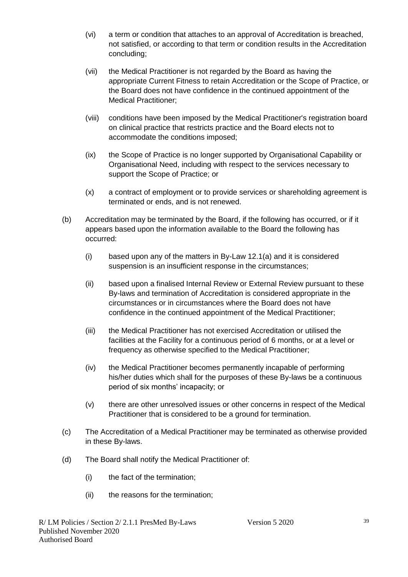- (vi) a term or condition that attaches to an approval of Accreditation is breached, not satisfied, or according to that term or condition results in the Accreditation concluding;
- (vii) the Medical Practitioner is not regarded by the Board as having the appropriate Current Fitness to retain Accreditation or the Scope of Practice, or the Board does not have confidence in the continued appointment of the Medical Practitioner;
- (viii) conditions have been imposed by the Medical Practitioner's registration board on clinical practice that restricts practice and the Board elects not to accommodate the conditions imposed;
- (ix) the Scope of Practice is no longer supported by Organisational Capability or Organisational Need, including with respect to the services necessary to support the Scope of Practice; or
- (x) a contract of employment or to provide services or shareholding agreement is terminated or ends, and is not renewed.
- (b) Accreditation may be terminated by the Board, if the following has occurred, or if it appears based upon the information available to the Board the following has occurred:
	- (i) based upon any of the matters in By-Law 12.1(a) and it is considered suspension is an insufficient response in the circumstances;
	- (ii) based upon a finalised Internal Review or External Review pursuant to these By-laws and termination of Accreditation is considered appropriate in the circumstances or in circumstances where the Board does not have confidence in the continued appointment of the Medical Practitioner;
	- (iii) the Medical Practitioner has not exercised Accreditation or utilised the facilities at the Facility for a continuous period of 6 months, or at a level or frequency as otherwise specified to the Medical Practitioner;
	- (iv) the Medical Practitioner becomes permanently incapable of performing his/her duties which shall for the purposes of these By-laws be a continuous period of six months' incapacity; or
	- (v) there are other unresolved issues or other concerns in respect of the Medical Practitioner that is considered to be a ground for termination.
- (c) The Accreditation of a Medical Practitioner may be terminated as otherwise provided in these By-laws.
- (d) The Board shall notify the Medical Practitioner of:
	- (i) the fact of the termination;
	- (ii) the reasons for the termination;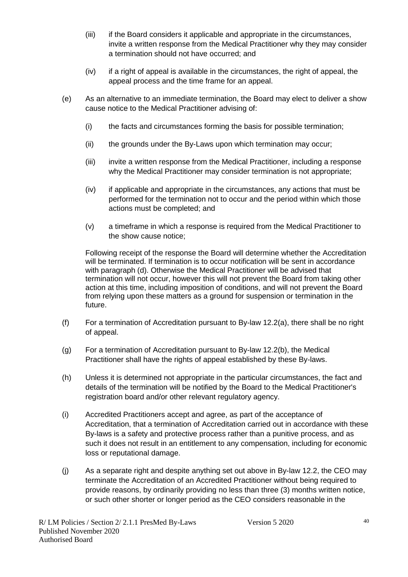- (iii) if the Board considers it applicable and appropriate in the circumstances, invite a written response from the Medical Practitioner why they may consider a termination should not have occurred; and
- (iv) if a right of appeal is available in the circumstances, the right of appeal, the appeal process and the time frame for an appeal.
- (e) As an alternative to an immediate termination, the Board may elect to deliver a show cause notice to the Medical Practitioner advising of:
	- (i) the facts and circumstances forming the basis for possible termination;
	- (ii) the grounds under the By-Laws upon which termination may occur;
	- (iii) invite a written response from the Medical Practitioner, including a response why the Medical Practitioner may consider termination is not appropriate;
	- (iv) if applicable and appropriate in the circumstances, any actions that must be performed for the termination not to occur and the period within which those actions must be completed; and
	- (v) a timeframe in which a response is required from the Medical Practitioner to the show cause notice;

Following receipt of the response the Board will determine whether the Accreditation will be terminated. If termination is to occur notification will be sent in accordance with paragraph (d). Otherwise the Medical Practitioner will be advised that termination will not occur, however this will not prevent the Board from taking other action at this time, including imposition of conditions, and will not prevent the Board from relying upon these matters as a ground for suspension or termination in the future.

- (f) For a termination of Accreditation pursuant to By-law 12.2(a), there shall be no right of appeal.
- (g) For a termination of Accreditation pursuant to By-law 12.2(b), the Medical Practitioner shall have the rights of appeal established by these By-laws.
- (h) Unless it is determined not appropriate in the particular circumstances, the fact and details of the termination will be notified by the Board to the Medical Practitioner's registration board and/or other relevant regulatory agency.
- (i) Accredited Practitioners accept and agree, as part of the acceptance of Accreditation, that a termination of Accreditation carried out in accordance with these By-laws is a safety and protective process rather than a punitive process, and as such it does not result in an entitlement to any compensation, including for economic loss or reputational damage.
- (j) As a separate right and despite anything set out above in By-law 12.2, the CEO may terminate the Accreditation of an Accredited Practitioner without being required to provide reasons, by ordinarily providing no less than three (3) months written notice, or such other shorter or longer period as the CEO considers reasonable in the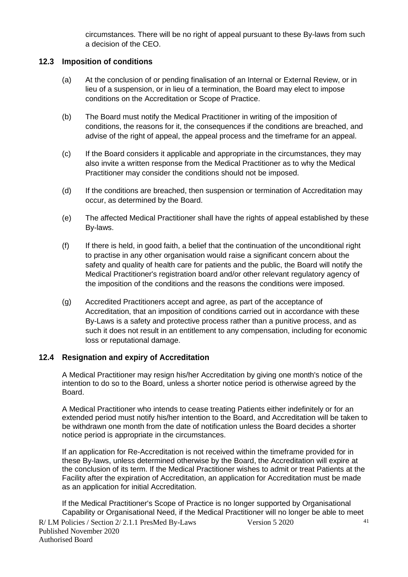circumstances. There will be no right of appeal pursuant to these By-laws from such a decision of the CEO.

#### **12.3 Imposition of conditions**

- (a) At the conclusion of or pending finalisation of an Internal or External Review, or in lieu of a suspension, or in lieu of a termination, the Board may elect to impose conditions on the Accreditation or Scope of Practice.
- (b) The Board must notify the Medical Practitioner in writing of the imposition of conditions, the reasons for it, the consequences if the conditions are breached, and advise of the right of appeal, the appeal process and the timeframe for an appeal.
- (c) If the Board considers it applicable and appropriate in the circumstances, they may also invite a written response from the Medical Practitioner as to why the Medical Practitioner may consider the conditions should not be imposed.
- (d) If the conditions are breached, then suspension or termination of Accreditation may occur, as determined by the Board.
- (e) The affected Medical Practitioner shall have the rights of appeal established by these By-laws.
- (f) If there is held, in good faith, a belief that the continuation of the unconditional right to practise in any other organisation would raise a significant concern about the safety and quality of health care for patients and the public, the Board will notify the Medical Practitioner's registration board and/or other relevant regulatory agency of the imposition of the conditions and the reasons the conditions were imposed.
- (g) Accredited Practitioners accept and agree, as part of the acceptance of Accreditation, that an imposition of conditions carried out in accordance with these By-Laws is a safety and protective process rather than a punitive process, and as such it does not result in an entitlement to any compensation, including for economic loss or reputational damage.

#### **12.4 Resignation and expiry of Accreditation**

A Medical Practitioner may resign his/her Accreditation by giving one month's notice of the intention to do so to the Board, unless a shorter notice period is otherwise agreed by the Board.

A Medical Practitioner who intends to cease treating Patients either indefinitely or for an extended period must notify his/her intention to the Board, and Accreditation will be taken to be withdrawn one month from the date of notification unless the Board decides a shorter notice period is appropriate in the circumstances.

If an application for Re-Accreditation is not received within the timeframe provided for in these By-laws, unless determined otherwise by the Board, the Accreditation will expire at the conclusion of its term. If the Medical Practitioner wishes to admit or treat Patients at the Facility after the expiration of Accreditation, an application for Accreditation must be made as an application for initial Accreditation.

If the Medical Practitioner's Scope of Practice is no longer supported by Organisational Capability or Organisational Need, if the Medical Practitioner will no longer be able to meet

R/ LM Policies / Section 2/ 2.1.1 PresMed By-Laws Version 5 2020 Published November 2020 Authorised Board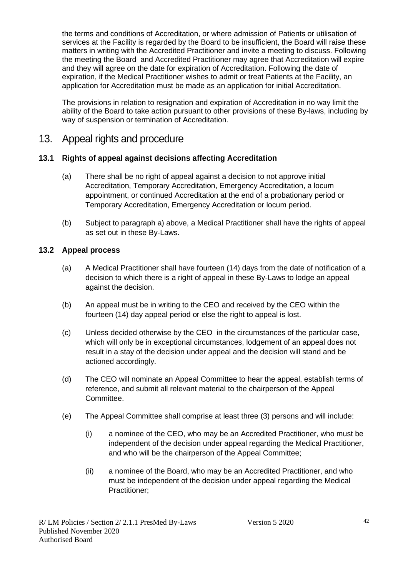the terms and conditions of Accreditation, or where admission of Patients or utilisation of services at the Facility is regarded by the Board to be insufficient, the Board will raise these matters in writing with the Accredited Practitioner and invite a meeting to discuss. Following the meeting the Board and Accredited Practitioner may agree that Accreditation will expire and they will agree on the date for expiration of Accreditation. Following the date of expiration, if the Medical Practitioner wishes to admit or treat Patients at the Facility, an application for Accreditation must be made as an application for initial Accreditation.

The provisions in relation to resignation and expiration of Accreditation in no way limit the ability of the Board to take action pursuant to other provisions of these By-laws, including by way of suspension or termination of Accreditation.

## 13. Appeal rights and procedure

#### **13.1 Rights of appeal against decisions affecting Accreditation**

- (a) There shall be no right of appeal against a decision to not approve initial Accreditation, Temporary Accreditation, Emergency Accreditation, a locum appointment, or continued Accreditation at the end of a probationary period or Temporary Accreditation, Emergency Accreditation or locum period.
- (b) Subject to paragraph a) above, a Medical Practitioner shall have the rights of appeal as set out in these By-Laws.

#### **13.2 Appeal process**

- (a) A Medical Practitioner shall have fourteen (14) days from the date of notification of a decision to which there is a right of appeal in these By-Laws to lodge an appeal against the decision.
- (b) An appeal must be in writing to the CEO and received by the CEO within the fourteen (14) day appeal period or else the right to appeal is lost.
- (c) Unless decided otherwise by the CEO in the circumstances of the particular case, which will only be in exceptional circumstances, lodgement of an appeal does not result in a stay of the decision under appeal and the decision will stand and be actioned accordingly.
- (d) The CEO will nominate an Appeal Committee to hear the appeal, establish terms of reference, and submit all relevant material to the chairperson of the Appeal Committee.
- (e) The Appeal Committee shall comprise at least three (3) persons and will include:
	- (i) a nominee of the CEO, who may be an Accredited Practitioner, who must be independent of the decision under appeal regarding the Medical Practitioner, and who will be the chairperson of the Appeal Committee;
	- (ii) a nominee of the Board, who may be an Accredited Practitioner, and who must be independent of the decision under appeal regarding the Medical Practitioner;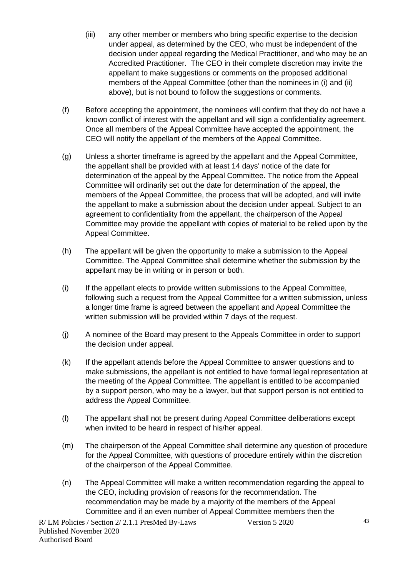- (iii) any other member or members who bring specific expertise to the decision under appeal, as determined by the CEO, who must be independent of the decision under appeal regarding the Medical Practitioner, and who may be an Accredited Practitioner. The CEO in their complete discretion may invite the appellant to make suggestions or comments on the proposed additional members of the Appeal Committee (other than the nominees in (i) and (ii) above), but is not bound to follow the suggestions or comments.
- (f) Before accepting the appointment, the nominees will confirm that they do not have a known conflict of interest with the appellant and will sign a confidentiality agreement. Once all members of the Appeal Committee have accepted the appointment, the CEO will notify the appellant of the members of the Appeal Committee.
- (g) Unless a shorter timeframe is agreed by the appellant and the Appeal Committee, the appellant shall be provided with at least 14 days' notice of the date for determination of the appeal by the Appeal Committee. The notice from the Appeal Committee will ordinarily set out the date for determination of the appeal, the members of the Appeal Committee, the process that will be adopted, and will invite the appellant to make a submission about the decision under appeal. Subject to an agreement to confidentiality from the appellant, the chairperson of the Appeal Committee may provide the appellant with copies of material to be relied upon by the Appeal Committee.
- (h) The appellant will be given the opportunity to make a submission to the Appeal Committee. The Appeal Committee shall determine whether the submission by the appellant may be in writing or in person or both.
- (i) If the appellant elects to provide written submissions to the Appeal Committee, following such a request from the Appeal Committee for a written submission, unless a longer time frame is agreed between the appellant and Appeal Committee the written submission will be provided within 7 days of the request.
- (j) A nominee of the Board may present to the Appeals Committee in order to support the decision under appeal.
- (k) If the appellant attends before the Appeal Committee to answer questions and to make submissions, the appellant is not entitled to have formal legal representation at the meeting of the Appeal Committee. The appellant is entitled to be accompanied by a support person, who may be a lawyer, but that support person is not entitled to address the Appeal Committee.
- (l) The appellant shall not be present during Appeal Committee deliberations except when invited to be heard in respect of his/her appeal.
- (m) The chairperson of the Appeal Committee shall determine any question of procedure for the Appeal Committee, with questions of procedure entirely within the discretion of the chairperson of the Appeal Committee.
- (n) The Appeal Committee will make a written recommendation regarding the appeal to the CEO, including provision of reasons for the recommendation. The recommendation may be made by a majority of the members of the Appeal Committee and if an even number of Appeal Committee members then the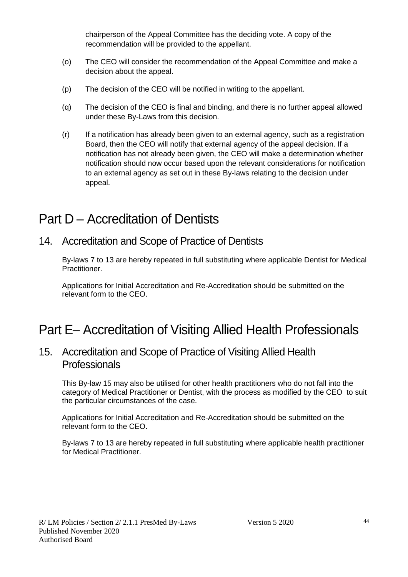chairperson of the Appeal Committee has the deciding vote. A copy of the recommendation will be provided to the appellant.

- (o) The CEO will consider the recommendation of the Appeal Committee and make a decision about the appeal.
- (p) The decision of the CEO will be notified in writing to the appellant.
- (q) The decision of the CEO is final and binding, and there is no further appeal allowed under these By-Laws from this decision.
- (r) If a notification has already been given to an external agency, such as a registration Board, then the CEO will notify that external agency of the appeal decision. If a notification has not already been given, the CEO will make a determination whether notification should now occur based upon the relevant considerations for notification to an external agency as set out in these By-laws relating to the decision under appeal.

# Part D – Accreditation of Dentists

14. Accreditation and Scope of Practice of Dentists

By-laws 7 to 13 are hereby repeated in full substituting where applicable Dentist for Medical Practitioner.

Applications for Initial Accreditation and Re-Accreditation should be submitted on the relevant form to the CEO.

# Part E– Accreditation of Visiting Allied Health Professionals

## 15. Accreditation and Scope of Practice of Visiting Allied Health **Professionals**

This By-law 15 may also be utilised for other health practitioners who do not fall into the category of Medical Practitioner or Dentist, with the process as modified by the CEO to suit the particular circumstances of the case.

Applications for Initial Accreditation and Re-Accreditation should be submitted on the relevant form to the CEO.

By-laws 7 to 13 are hereby repeated in full substituting where applicable health practitioner for Medical Practitioner.